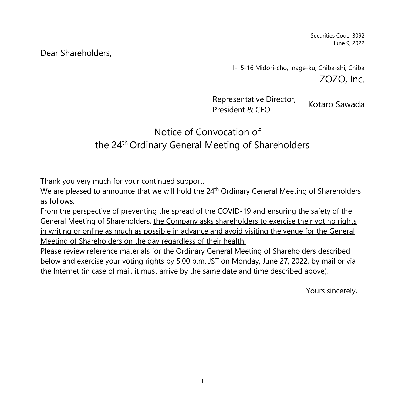Securities Code: 3092 June 9, 2022

# Dear Shareholders,

1-15-16 Midori-cho, Inage-ku, Chiba-shi, Chiba ZOZO, Inc.

Representative Director, Representative Briector, Kotaro Sawada

# Notice of Convocation of the 24<sup>th</sup> Ordinary General Meeting of Shareholders

Thank you very much for your continued support.

We are pleased to announce that we will hold the 24<sup>th</sup> Ordinary General Meeting of Shareholders as follows.

From the perspective of preventing the spread of the COVID-19 and ensuring the safety of the General Meeting of Shareholders, the Company asks shareholders to exercise their voting rights in writing or online as much as possible in advance and avoid visiting the venue for the General Meeting of Shareholders on the day regardless of their health.

Please review reference materials for the Ordinary General Meeting of Shareholders described below and exercise your voting rights by 5:00 p.m. JST on Monday, June 27, 2022, by mail or via the Internet (in case of mail, it must arrive by the same date and time described above).

Yours sincerely,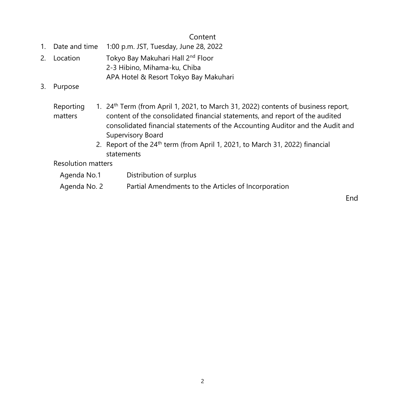# Content

- 1. Date and time 1:00 p.m. JST, Tuesday, June 28, 2022
- 2. Location Tokyo Bay Makuhari Hall 2<sup>nd</sup> Floor 2-3 Hibino, Mihama-ku, Chiba APA Hotel & Resort Tokyo Bay Makuhari
- 3. Purpose

#### Reporting matters 1. 24<sup>th</sup> Term (from April 1, 2021, to March 31, 2022) contents of business report, content of the consolidated financial statements, and report of the audited consolidated financial statements of the Accounting Auditor and the Audit and Supervisory Board

2. Report of the 24<sup>th</sup> term (from April 1, 2021, to March 31, 2022) financial statements

Resolution matters

- Agenda No.1 Distribution of surplus
- Agenda No. 2 Partial Amendments to the Articles of Incorporation

End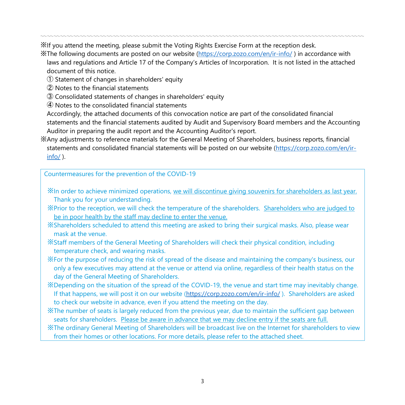※If you attend the meeting, please submit the Voting Rights Exercise Form at the reception desk.

※The following documents are posted on our website [\(https://corp.zozo.com/en/ir-info/](https://corp.zozo.com/en/ir-info/) ) in accordance with laws and regulations and Article 17 of the Company's Articles of Incorporation. It is not listed in the attached document of this notice.

〰〰〰〰〰〰〰〰〰〰〰〰〰〰〰〰〰〰〰〰〰〰〰〰〰〰〰〰〰〰〰〰〰〰〰〰〰〰〰〰〰〰〰〰〰〰〰〰〰

- ① Statement of changes in shareholders' equity
- ② Notes to the financial statements
- ③ Consolidated statements of changes in shareholders' equity
- ④ Notes to the consolidated financial statements

Accordingly, the attached documents of this convocation notice are part of the consolidated financial statements and the financial statements audited by Audit and Supervisory Board members and the Accounting Auditor in preparing the audit report and the Accounting Auditor's report.

※Any adjustments to reference materials for the General Meeting of Shareholders, business reports, financial statements and consolidated financial statements will be posted on our website [\(https://corp.zozo.com/en/ir](https://corp.zozo.com/en/ir-info/) $info/$ ).

Countermeasures for the prevention of the COVID-19

※In order to achieve minimized operations, we will discontinue giving souvenirs for shareholders as last year. Thank you for your understanding.

※Prior to the reception, we will check the temperature of the shareholders. Shareholders who are judged to be in poor health by the staff may decline to enter the venue.

※Shareholders scheduled to attend this meeting are asked to bring their surgical masks. Also, please wear mask at the venue.

※Staff members of the General Meeting of Shareholders will check their physical condition, including temperature check, and wearing masks.

※For the purpose of reducing the risk of spread of the disease and maintaining the company's business, our only a few executives may attend at the venue or attend via online, regardless of their health status on the day of the General Meeting of Shareholders.

※Depending on the situation of the spread of the COVID-19, the venue and start time may inevitably change. If that happens, we will post it on our website [\(https://corp.zozo.com/en/ir-info/](https://corp.zozo.com/en/ir-info/) ). Shareholders are asked to check our website in advance, even if you attend the meeting on the day.

※The number of seats is largely reduced from the previous year, due to maintain the sufficient gap between seats for shareholders. Please be aware in advance that we may decline entry if the seats are full.

※The ordinary General Meeting of Shareholders will be broadcast live on the Internet for shareholders to view from their homes or other locations. For more details, please refer to the attached sheet.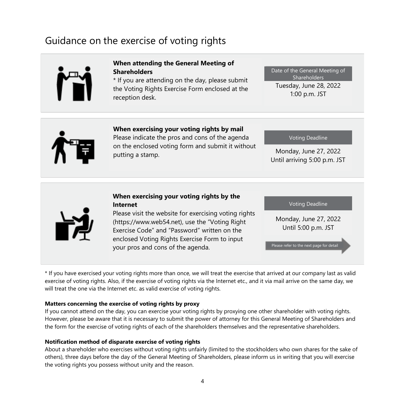# Guidance on the exercise of voting rights



#### **When attending the General Meeting of Shareholders**

\* If you are attending on the day, please submit the Voting Rights Exercise Form enclosed at the reception desk.

Tuesday, June 28, 2022 1:00 p.m. JST Date of the General Meeting of Shareholders



**When exercising your voting rights by mail**

Please indicate the pros and cons of the agenda on the enclosed voting form and submit it without putting a stamp.

Voting Deadline

Monday, June 27, 2022 Until arriving 5:00 p.m. JST

#### **When exercising your voting rights by the Internet**

Please visit the website for exercising voting rights (https://www.web54.net), use the "Voting Right Exercise Code" and "Password" written on the enclosed Voting Rights Exercise Form to input your pros and cons of the agenda.

Voting Deadline

Monday, June 27, 2022 Until 5:00 p.m. JST

Please refer to the next page for detail

\* If you have exercised your voting rights more than once, we will treat the exercise that arrived at our company last as valid exercise of voting rights. Also, if the exercise of voting rights via the Internet etc., and it via mail arrive on the same day, we will treat the one via the Internet etc. as valid exercise of voting rights.

#### **Matters concerning the exercise of voting rights by proxy**

If you cannot attend on the day, you can exercise your voting rights by proxying one other shareholder with voting rights. However, please be aware that it is necessary to submit the power of attorney for this General Meeting of Shareholders and the form for the exercise of voting rights of each of the shareholders themselves and the representative shareholders.

#### **Notification method of disparate exercise of voting rights**

About a shareholder who exercises without voting rights unfairly (limited to the stockholders who own shares for the sake of others), three days before the day of the General Meeting of Shareholders, please inform us in writing that you will exercise the voting rights you possess without unity and the reason.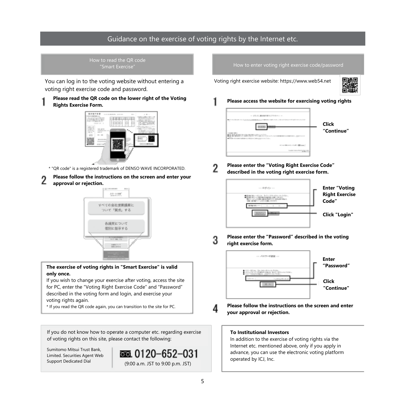# Guidance on the exercise of voting rights by the Internet etc.

# How to read the QR code

You can log in to the voting website without entering a voting right exercise code and password.

#### **Please read the QR code on the lower right of the Voting Rights Exercise Form.**



\* "QR code" is a registered trademark of DENSO WAVE INCORPORATED.

- **Please follow the instructions on the screen and enter your**
- **approval or rejection.**



**The exercise of voting rights in "Smart Exercise" is valid only once.**

If you wish to change your exercise after voting, access the site for PC, enter the "Voting Right Exercise Code" and "Password" described in the voting form and login, and exercise your voting rights again.

\* If you read the QR code again, you can transition to the site for PC.

If you do not know how to operate a computer etc. regarding exercise of voting rights on this site, please contact the following:

Sumitomo Mitsui Trust Bank, Limited. Securities Agent Web



#### "Smart Exercise" How to enter voting right exercise code/password

Voting right exercise website: https://www.web54.net



**Please access the website for exercising voting rights**



**Please enter the "Voting Right Exercise Code" described in the voting right exercise form.**



**Please enter the "Password" described in the voting right exercise form.**



**Please follow the instructions on the screen and enter your approval or rejection.**

#### **To Institutional Investors**

In addition to the exercise of voting rights via the Internet etc. mentioned above, only if you apply in advance, you can use the electronic voting platform operated by ICJ, Inc.

Δ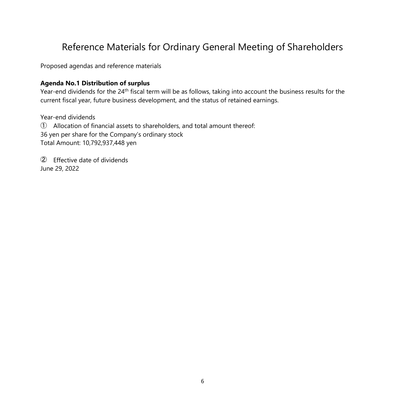# Reference Materials for Ordinary General Meeting of Shareholders

Proposed agendas and reference materials

#### **Agenda No.1 Distribution of surplus**

Year-end dividends for the 24<sup>th</sup> fiscal term will be as follows, taking into account the business results for the current fiscal year, future business development, and the status of retained earnings.

Year-end dividends ① Allocation of financial assets to shareholders, and total amount thereof: 36 yen per share for the Company's ordinary stock Total Amount: 10,792,937,448 yen

② Effective date of dividends June 29, 2022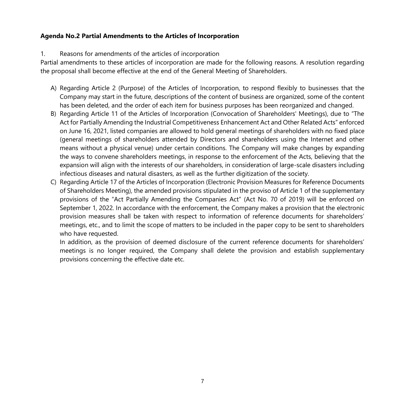#### **Agenda No.2 Partial Amendments to the Articles of Incorporation**

#### 1. Reasons for amendments of the articles of incorporation

Partial amendments to these articles of incorporation are made for the following reasons. A resolution regarding the proposal shall become effective at the end of the General Meeting of Shareholders.

- A) Regarding Article 2 (Purpose) of the Articles of Incorporation, to respond flexibly to businesses that the Company may start in the future, descriptions of the content of business are organized, some of the content has been deleted, and the order of each item for business purposes has been reorganized and changed.
- B) Regarding Article 11 of the Articles of Incorporation (Convocation of Shareholders' Meetings), due to "The Act for Partially Amending the Industrial Competitiveness Enhancement Act and Other Related Acts" enforced on June 16, 2021, listed companies are allowed to hold general meetings of shareholders with no fixed place (general meetings of shareholders attended by Directors and shareholders using the Internet and other means without a physical venue) under certain conditions. The Company will make changes by expanding the ways to convene shareholders meetings, in response to the enforcement of the Acts, believing that the expansion will align with the interests of our shareholders, in consideration of large-scale disasters including infectious diseases and natural disasters, as well as the further digitization of the society.
- C) Regarding Article 17 of the Articles of Incorporation (Electronic Provision Measures for Reference Documents of Shareholders Meeting), the amended provisions stipulated in the proviso of Article 1 of the supplementary provisions of the "Act Partially Amending the Companies Act" (Act No. 70 of 2019) will be enforced on September 1, 2022. In accordance with the enforcement, the Company makes a provision that the electronic provision measures shall be taken with respect to information of reference documents for shareholders' meetings, etc., and to limit the scope of matters to be included in the paper copy to be sent to shareholders who have requested.

In addition, as the provision of deemed disclosure of the current reference documents for shareholders' meetings is no longer required, the Company shall delete the provision and establish supplementary provisions concerning the effective date etc.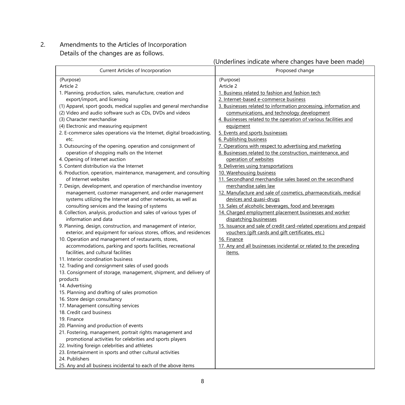2. Amendments to the Articles of Incorporation Details of the changes are as follows.

# (Underlines indicate where changes have been made)

| Current Articles of Incorporation                                                                                                                                                                                                                                                                                                                                                                                                                                                                                                                                                                                                                                                                                                                                                                                                                                                                                                                                                                                                                                                                                                                                                                                                                                                                                                                                                                                                                                                                                                                                                                                                                                                                                                                                                                                                                                                                                                                                                                                                                                                             | Proposed change                                                                                                                                                                                                                                                                                                                                                                                                                                                                                                                                                                                                                                                                                                                                                                                                                                                                                                                                                                                                                                                                                                                                                   |
|-----------------------------------------------------------------------------------------------------------------------------------------------------------------------------------------------------------------------------------------------------------------------------------------------------------------------------------------------------------------------------------------------------------------------------------------------------------------------------------------------------------------------------------------------------------------------------------------------------------------------------------------------------------------------------------------------------------------------------------------------------------------------------------------------------------------------------------------------------------------------------------------------------------------------------------------------------------------------------------------------------------------------------------------------------------------------------------------------------------------------------------------------------------------------------------------------------------------------------------------------------------------------------------------------------------------------------------------------------------------------------------------------------------------------------------------------------------------------------------------------------------------------------------------------------------------------------------------------------------------------------------------------------------------------------------------------------------------------------------------------------------------------------------------------------------------------------------------------------------------------------------------------------------------------------------------------------------------------------------------------------------------------------------------------------------------------------------------------|-------------------------------------------------------------------------------------------------------------------------------------------------------------------------------------------------------------------------------------------------------------------------------------------------------------------------------------------------------------------------------------------------------------------------------------------------------------------------------------------------------------------------------------------------------------------------------------------------------------------------------------------------------------------------------------------------------------------------------------------------------------------------------------------------------------------------------------------------------------------------------------------------------------------------------------------------------------------------------------------------------------------------------------------------------------------------------------------------------------------------------------------------------------------|
| (Purpose)<br>Article 2<br>1. Planning, production, sales, manufacture, creation and<br>export/import, and licensing<br>(1) Apparel, sport goods, medical supplies and general merchandise<br>(2) Video and audio software such as CDs, DVDs and videos<br>(3) Character merchandise<br>(4) Electronic and measuring equipment<br>2. E-commerce sales operations via the Internet, digital broadcasting,<br>etc.<br>3. Outsourcing of the opening, operation and consignment of<br>operation of shopping malls on the Internet<br>4. Opening of Internet auction<br>5. Content distribution via the Internet<br>6. Production, operation, maintenance, management, and consulting<br>of Internet websites<br>7. Design, development, and operation of merchandise inventory<br>management, customer management, and order management<br>systems utilizing the Internet and other networks, as well as<br>consulting services and the leasing of systems<br>8. Collection, analysis, production and sales of various types of<br>information and data<br>9. Planning, design, construction, and management of interior,<br>exterior, and equipment for various stores, offices, and residences<br>10. Operation and management of restaurants, stores,<br>accommodations, parking and sports facilities, recreational<br>facilities, and cultural facilities<br>11. Interior coordination business<br>12. Trading and consignment sales of used goods<br>13. Consignment of storage, management, shipment, and delivery of<br>products<br>14. Advertising<br>15. Planning and drafting of sales promotion<br>16. Store design consultancy<br>17. Management consulting services<br>18. Credit card business<br>19. Finance<br>20. Planning and production of events<br>21. Fostering, management, portrait rights management and<br>promotional activities for celebrities and sports players<br>22. Inviting foreign celebrities and athletes<br>23. Entertainment in sports and other cultural activities<br>24. Publishers<br>25. Any and all business incidental to each of the above items | (Purpose)<br>Article 2<br>1. Business related to fashion and fashion tech<br>2. Internet-based e-commerce business<br>3. Businesses related to information processing, information and<br>communications, and technology development<br>4. Businesses related to the operation of various facilities and<br>equipment<br>5. Events and sports businesses<br>6. Publishing business<br>7. Operations with respect to advertising and marketing<br>8. Businesses related to the construction, maintenance, and<br>operation of websites<br>9. Deliveries using transportations<br>10. Warehousing business<br>11. Secondhand merchandise sales based on the secondhand<br>merchandise sales law<br>12. Manufacture and sale of cosmetics, pharmaceuticals, medical<br>devices and quasi-drugs<br>13. Sales of alcoholic beverages, food and beverages<br>14. Charged employment placement businesses and worker<br>dispatching businesses<br>15. Issuance and sale of credit card-related operations and prepaid<br>vouchers (gift cards and gift certificates, etc.)<br>16. Finance<br>17. Any and all businesses incidental or related to the preceding<br>items. |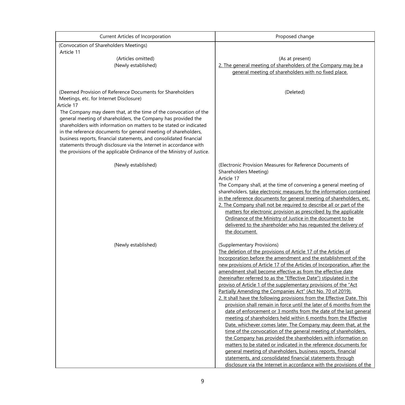| Current Articles of Incorporation                                                                                                                                                                                                                                                                                                                                                                                                                                                                                                                                                                                     | Proposed change                                                                                                                                                                                                                                                                                                                                                                                                                                                                                                                                                                                                                                                                                                                                                                                                                                                                                                                                                                                                                                                                                                                                                                                                                                                                                 |
|-----------------------------------------------------------------------------------------------------------------------------------------------------------------------------------------------------------------------------------------------------------------------------------------------------------------------------------------------------------------------------------------------------------------------------------------------------------------------------------------------------------------------------------------------------------------------------------------------------------------------|-------------------------------------------------------------------------------------------------------------------------------------------------------------------------------------------------------------------------------------------------------------------------------------------------------------------------------------------------------------------------------------------------------------------------------------------------------------------------------------------------------------------------------------------------------------------------------------------------------------------------------------------------------------------------------------------------------------------------------------------------------------------------------------------------------------------------------------------------------------------------------------------------------------------------------------------------------------------------------------------------------------------------------------------------------------------------------------------------------------------------------------------------------------------------------------------------------------------------------------------------------------------------------------------------|
| (Convocation of Shareholders Meetings)                                                                                                                                                                                                                                                                                                                                                                                                                                                                                                                                                                                |                                                                                                                                                                                                                                                                                                                                                                                                                                                                                                                                                                                                                                                                                                                                                                                                                                                                                                                                                                                                                                                                                                                                                                                                                                                                                                 |
| Article 11<br>(Articles omitted)<br>(Newly established)                                                                                                                                                                                                                                                                                                                                                                                                                                                                                                                                                               | (As at present)<br>2. The general meeting of shareholders of the Company may be a<br>general meeting of shareholders with no fixed place.                                                                                                                                                                                                                                                                                                                                                                                                                                                                                                                                                                                                                                                                                                                                                                                                                                                                                                                                                                                                                                                                                                                                                       |
| (Deemed Provision of Reference Documents for Shareholders<br>Meetings, etc. for Internet Disclosure)<br>Article 17<br>The Company may deem that, at the time of the convocation of the<br>general meeting of shareholders, the Company has provided the<br>shareholders with information on matters to be stated or indicated<br>in the reference documents for general meeting of shareholders,<br>business reports, financial statements, and consolidated financial<br>statements through disclosure via the Internet in accordance with<br>the provisions of the applicable Ordinance of the Ministry of Justice. | (Deleted)                                                                                                                                                                                                                                                                                                                                                                                                                                                                                                                                                                                                                                                                                                                                                                                                                                                                                                                                                                                                                                                                                                                                                                                                                                                                                       |
| (Newly established)                                                                                                                                                                                                                                                                                                                                                                                                                                                                                                                                                                                                   | (Electronic Provision Measures for Reference Documents of<br>Shareholders Meeting)<br>Article 17<br>The Company shall, at the time of convening a general meeting of<br>shareholders, take electronic measures for the information contained<br>in the reference documents for general meeting of shareholders, etc.<br>2. The Company shall not be required to describe all or part of the<br>matters for electronic provision as prescribed by the applicable<br>Ordinance of the Ministry of Justice in the document to be<br>delivered to the shareholder who has requested the delivery of<br>the document.                                                                                                                                                                                                                                                                                                                                                                                                                                                                                                                                                                                                                                                                                |
| (Newly established)                                                                                                                                                                                                                                                                                                                                                                                                                                                                                                                                                                                                   | (Supplementary Provisions)<br>The deletion of the provisions of Article 17 of the Articles of<br>Incorporation before the amendment and the establishment of the<br>new provisions of Article 17 of the Articles of Incorporation, after the<br>amendment shall become effective as from the effective date<br>(hereinafter referred to as the "Effective Date") stipulated in the<br>proviso of Article 1 of the supplementary provisions of the "Act<br>Partially Amending the Companies Act" (Act No. 70 of 2019).<br>2. It shall have the following provisions from the Effective Date. This<br>provision shall remain in force until the later of 6 months from the<br>date of enforcement or 3 months from the date of the last general<br>meeting of shareholders held within 6 months from the Effective<br>Date, whichever comes later. The Company may deem that, at the<br>time of the convocation of the general meeting of shareholders.<br>the Company has provided the shareholders with information on<br>matters to be stated or indicated in the reference documents for<br>general meeting of shareholders, business reports, financial<br>statements, and consolidated financial statements through<br>disclosure via the Internet in accordance with the provisions of the |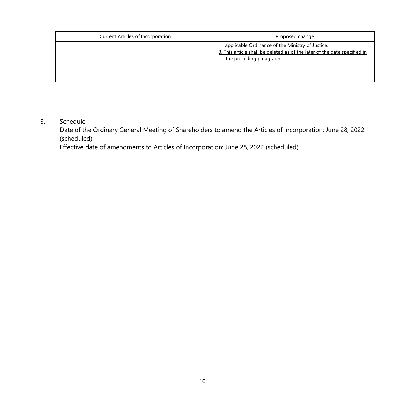| Current Articles of Incorporation | Proposed change                                                                                                                                           |
|-----------------------------------|-----------------------------------------------------------------------------------------------------------------------------------------------------------|
|                                   | applicable Ordinance of the Ministry of Justice.<br>3. This article shall be deleted as of the later of the date specified in<br>the preceding paragraph. |

#### 3. Schedule

Date of the Ordinary General Meeting of Shareholders to amend the Articles of Incorporation: June 28, 2022 (scheduled)

Effective date of amendments to Articles of Incorporation: June 28, 2022 (scheduled)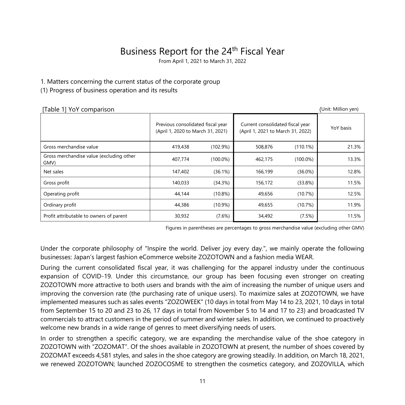# Business Report for the 24<sup>th</sup> Fiscal Year

From April 1, 2021 to March 31, 2022

#### 1. Matters concerning the current status of the corporate group

#### (1) Progress of business operation and its results

| [Table 1] YoY comparison                         |                                                                        |             |                                                                       |             | (Unit: Million yen) |
|--------------------------------------------------|------------------------------------------------------------------------|-------------|-----------------------------------------------------------------------|-------------|---------------------|
|                                                  | Previous consolidated fiscal year<br>(April 1, 2020 to March 31, 2021) |             | Current consolidated fiscal year<br>(April 1, 2021 to March 31, 2022) | YoY basis   |                     |
| Gross merchandise value                          | 419,438                                                                | (102.9%)    | 508,876                                                               | $(110.1\%)$ | 21.3%               |
| Gross merchandise value (excluding other<br>GMV) | 407,774                                                                | $(100.0\%)$ | 462.175                                                               | $(100.0\%)$ | 13.3%               |
| Net sales                                        | 147,402                                                                | $(36.1\%)$  | 166,199                                                               | $(36.0\%)$  | 12.8%               |
| Gross profit                                     | 140,033                                                                | (34.3%)     | 156,172                                                               | (33.8%)     | 11.5%               |
| Operating profit                                 | 44,144                                                                 | $(10.8\%)$  | 49,656                                                                | (10.7%)     | 12.5%               |
| Ordinary profit                                  | 44,386                                                                 | $(10.9\%)$  | 49,655                                                                | (10.7%)     | 11.9%               |
| Profit attributable to owners of parent          | 30,932                                                                 | $(7.6\%)$   | 34,492                                                                | (7.5%)      | 11.5%               |

Figures in parentheses are percentages to gross merchandise value (excluding other GMV)

Under the corporate philosophy of "Inspire the world. Deliver joy every day.", we mainly operate the following businesses: Japan's largest fashion eCommerce website ZOZOTOWN and a fashion media WEAR.

During the current consolidated fiscal year, it was challenging for the apparel industry under the continuous expansion of COVID-19. Under this circumstance, our group has been focusing even stronger on creating ZOZOTOWN more attractive to both users and brands with the aim of increasing the number of unique users and improving the conversion rate (the purchasing rate of unique users). To maximize sales at ZOZOTOWN, we have implemented measures such as sales events "ZOZOWEEK" (10 days in total from May 14 to 23, 2021, 10 days in total from September 15 to 20 and 23 to 26, 17 days in total from November 5 to 14 and 17 to 23) and broadcasted TV commercials to attract customers in the period of summer and winter sales. In addition, we continued to proactively welcome new brands in a wide range of genres to meet diversifying needs of users.

In order to strengthen a specific category, we are expanding the merchandise value of the shoe category in ZOZOTOWN with "ZOZOMAT". Of the shoes available in ZOZOTOWN at present, the number of shoes covered by ZOZOMAT exceeds 4,581 styles, and sales in the shoe category are growing steadily. In addition, on March 18, 2021, we renewed ZOZOTOWN; launched ZOZOCOSME to strengthen the cosmetics category, and ZOZOVILLA, which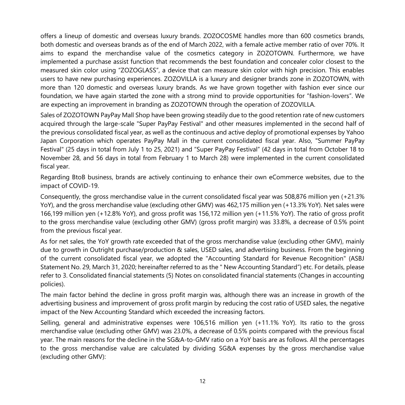offers a lineup of domestic and overseas luxury brands. ZOZOCOSME handles more than 600 cosmetics brands, both domestic and overseas brands as of the end of March 2022, with a female active member ratio of over 70%. It aims to expand the merchandise value of the cosmetics category in ZOZOTOWN. Furthermore, we have implemented a purchase assist function that recommends the best foundation and concealer color closest to the measured skin color using "ZOZOGLASS", a device that can measure skin color with high precision. This enables users to have new purchasing experiences. ZOZOVILLA is a luxury and designer brands zone in ZOZOTOWN, with more than 120 domestic and overseas luxury brands. As we have grown together with fashion ever since our foundation, we have again started the zone with a strong mind to provide opportunities for "fashion-lovers". We are expecting an improvement in branding as ZOZOTOWN through the operation of ZOZOVILLA.

Sales of ZOZOTOWN PayPay Mall Shop have been growing steadily due to the good retention rate of new customers acquired through the large-scale "Super PayPay Festival" and other measures implemented in the second half of the previous consolidated fiscal year, as well as the continuous and active deploy of promotional expenses by Yahoo Japan Corporation which operates PayPay Mall in the current consolidated fiscal year. Also, "Summer PayPay Festival" (25 days in total from July 1 to 25, 2021) and "Super PayPay Festival" (42 days in total from October 18 to November 28, and 56 days in total from February 1 to March 28) were implemented in the current consolidated fiscal year.

Regarding BtoB business, brands are actively continuing to enhance their own eCommerce websites, due to the impact of COVID-19.

Consequently, the gross merchandise value in the current consolidated fiscal year was 508,876 million yen (+21.3% YoY), and the gross merchandise value (excluding other GMV) was 462,175 million yen (+13.3% YoY). Net sales were 166,199 million yen (+12.8% YoY), and gross profit was 156,172 million yen (+11.5% YoY). The ratio of gross profit to the gross merchandise value (excluding other GMV) (gross profit margin) was 33.8%, a decrease of 0.5% point from the previous fiscal year.

As for net sales, the YoY growth rate exceeded that of the gross merchandise value (excluding other GMV), mainly due to growth in Outright purchase/production & sales, USED sales, and advertising business. From the beginning of the current consolidated fiscal year, we adopted the "Accounting Standard for Revenue Recognition" (ASBJ Statement No. 29, March 31, 2020; hereinafter referred to as the " New Accounting Standard") etc. For details, please refer to 3. Consolidated financial statements (5) Notes on consolidated financial statements (Changes in accounting policies).

The main factor behind the decline in gross profit margin was, although there was an increase in growth of the advertising business and improvement of gross profit margin by reducing the cost ratio of USED sales, the negative impact of the New Accounting Standard which exceeded the increasing factors.

Selling, general and administrative expenses were 106,516 million yen (+11.1% YoY). Its ratio to the gross merchandise value (excluding other GMV) was 23.0%, a decrease of 0.5% points compared with the previous fiscal year. The main reasons for the decline in the SG&A-to-GMV ratio on a YoY basis are as follows. All the percentages to the gross merchandise value are calculated by dividing SG&A expenses by the gross merchandise value (excluding other GMV):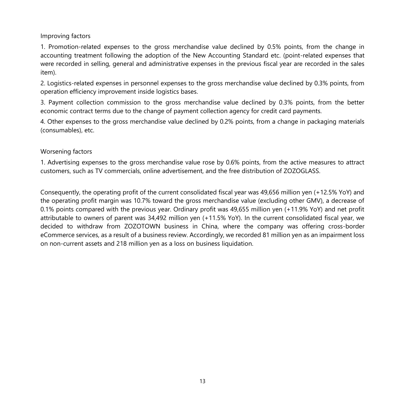#### Improving factors

1. Promotion-related expenses to the gross merchandise value declined by 0.5% points, from the change in accounting treatment following the adoption of the New Accounting Standard etc. (point-related expenses that were recorded in selling, general and administrative expenses in the previous fiscal year are recorded in the sales item).

2. Logistics-related expenses in personnel expenses to the gross merchandise value declined by 0.3% points, from operation efficiency improvement inside logistics bases.

3. Payment collection commission to the gross merchandise value declined by 0.3% points, from the better economic contract terms due to the change of payment collection agency for credit card payments.

4. Other expenses to the gross merchandise value declined by 0.2% points, from a change in packaging materials (consumables), etc.

#### Worsening factors

1. Advertising expenses to the gross merchandise value rose by 0.6% points, from the active measures to attract customers, such as TV commercials, online advertisement, and the free distribution of ZOZOGLASS.

Consequently, the operating profit of the current consolidated fiscal year was 49,656 million yen (+12.5% YoY) and the operating profit margin was 10.7% toward the gross merchandise value (excluding other GMV), a decrease of 0.1% points compared with the previous year. Ordinary profit was 49,655 million yen (+11.9% YoY) and net profit attributable to owners of parent was 34,492 million yen (+11.5% YoY). In the current consolidated fiscal year, we decided to withdraw from ZOZOTOWN business in China, where the company was offering cross-border eCommerce services, as a result of a business review. Accordingly, we recorded 81 million yen as an impairment loss on non-current assets and 218 million yen as a loss on business liquidation.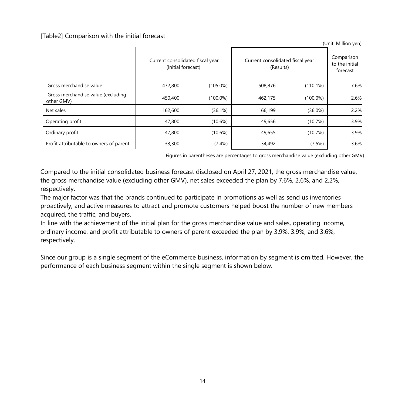[Table2] Comparison with the initial forecast

|                                                  | Current consolidated fiscal year<br>(Initial forecast) |             | Current consolidated fiscal year<br>(Results) | Comparison<br>to the initial<br>forecast |      |
|--------------------------------------------------|--------------------------------------------------------|-------------|-----------------------------------------------|------------------------------------------|------|
| Gross merchandise value                          | 472,800                                                | $(105.0\%)$ | 508,876                                       | (110.1%)                                 | 7.6% |
| Gross merchandise value (excluding<br>other GMV) | 450,400                                                | $(100.0\%)$ | 462.175                                       | $(100.0\%)$                              | 2.6% |
| Net sales                                        | 162,600                                                | (36.1%)     | 166.199                                       | $(36.0\%)$                               | 2.2% |
| Operating profit                                 | 47,800                                                 | $(10.6\%)$  | 49,656                                        | (10.7%)                                  | 3.9% |
| Ordinary profit                                  | 47.800                                                 | $(10.6\%)$  | 49.655                                        | (10.7%)                                  | 3.9% |
| Profit attributable to owners of parent          | 33,300                                                 | $(7.4\%)$   | 34,492                                        | (7.5%)                                   | 3.6% |

Figures in parentheses are percentages to gross merchandise value (excluding other GMV)

 $(U_{\text{min}} \cup M)$ 

Compared to the initial consolidated business forecast disclosed on April 27, 2021, the gross merchandise value, the gross merchandise value (excluding other GMV), net sales exceeded the plan by 7.6%, 2.6%, and 2.2%, respectively.

The major factor was that the brands continued to participate in promotions as well as send us inventories proactively, and active measures to attract and promote customers helped boost the number of new members acquired, the traffic, and buyers.

In line with the achievement of the initial plan for the gross merchandise value and sales, operating income, ordinary income, and profit attributable to owners of parent exceeded the plan by 3.9%, 3.9%, and 3.6%, respectively.

Since our group is a single segment of the eCommerce business, information by segment is omitted. However, the performance of each business segment within the single segment is shown below.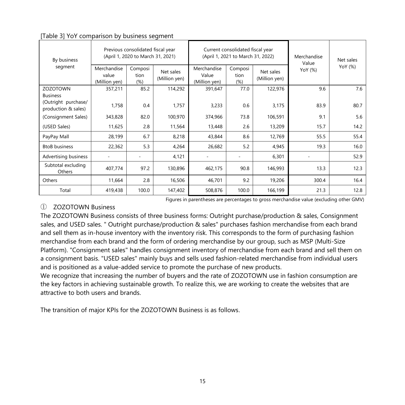| By business                                                   |                                       | Previous consolidated fiscal year<br>(April 1, 2020 to March 31, 2021) |                            |                                       | Current consolidated fiscal year<br>(April 1, 2021 to March 31, 2022) | Merchandise<br>Value       | Net sales |         |  |
|---------------------------------------------------------------|---------------------------------------|------------------------------------------------------------------------|----------------------------|---------------------------------------|-----------------------------------------------------------------------|----------------------------|-----------|---------|--|
| segment                                                       | Merchandise<br>value<br>(Million yen) | Composi<br>tion<br>$(\%)$                                              | Net sales<br>(Million yen) | Merchandise<br>Value<br>(Million yen) | Composi<br>tion<br>(% )                                               | Net sales<br>(Million yen) | YoY (%)   | YoY (%) |  |
| <b>ZOZOTOWN</b>                                               | 357,211                               | 85.2                                                                   | 114,292                    | 391,647                               | 77.0                                                                  | 122,976                    | 9.6       | 7.6     |  |
| <b>Business</b><br>(Outright purchase/<br>production & sales) | 1,758                                 | 0.4                                                                    | 1,757                      | 3,233                                 | 0.6                                                                   | 3,175                      | 83.9      | 80.7    |  |
| (Consignment Sales)                                           | 343,828                               | 82.0                                                                   | 100,970                    | 374,966                               | 73.8                                                                  | 106,591                    | 9.1       | 5.6     |  |
| (USED Sales)                                                  | 11,625                                | 2.8                                                                    | 11,564                     | 13,448                                | 2.6                                                                   | 13,209                     | 15.7      | 14.2    |  |
| PayPay Mall                                                   | 28,199                                | 6.7                                                                    | 8,218                      | 43,844                                | 8.6                                                                   | 12,769                     | 55.5      | 55.4    |  |
| <b>BtoB</b> business                                          | 22,362                                | 5.3                                                                    | 4,264                      | 26,682                                | 5.2                                                                   | 4,945                      | 19.3      | 16.0    |  |
| Advertising business                                          |                                       |                                                                        | 4,121                      | ٠                                     |                                                                       | 6,301                      |           | 52.9    |  |
| Subtotal excluding<br>Others                                  | 407,774                               | 97.2                                                                   | 130,896                    | 462,175                               | 90.8                                                                  | 146,993                    | 13.3      | 12.3    |  |
| Others                                                        | 11,664                                | 2.8                                                                    | 16,506                     | 46,701                                | 9.2                                                                   | 19,206                     | 300.4     | 16.4    |  |
| Total                                                         | 419,438                               | 100.0                                                                  | 147,402                    | 508,876                               | 100.0                                                                 | 166,199                    | 21.3      | 12.8    |  |

#### [Table 3] YoY comparison by business segment

Figures in parentheses are percentages to gross merchandise value (excluding other GMV)

### ① ZOZOTOWN Business

The ZOZOTOWN Business consists of three business forms: Outright purchase/production & sales, Consignment sales, and USED sales. " Outright purchase/production & sales" purchases fashion merchandise from each brand and sell them as in-house inventory with the inventory risk. This corresponds to the form of purchasing fashion merchandise from each brand and the form of ordering merchandise by our group, such as MSP (Multi-Size Platform). "Consignment sales" handles consignment inventory of merchandise from each brand and sell them on a consignment basis. "USED sales" mainly buys and sells used fashion-related merchandise from individual users and is positioned as a value-added service to promote the purchase of new products.

We recognize that increasing the number of buyers and the rate of ZOZOTOWN use in fashion consumption are the key factors in achieving sustainable growth. To realize this, we are working to create the websites that are attractive to both users and brands.

The transition of major KPIs for the ZOZOTOWN Business is as follows.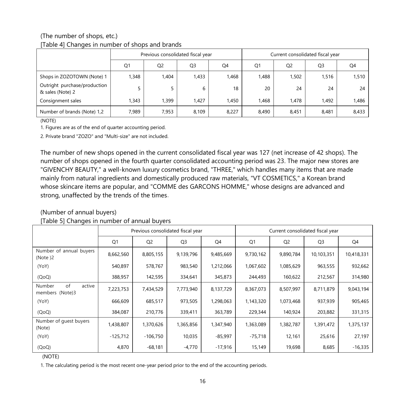#### (The number of shops, etc.) [Table 4] Changes in number of shops and brands

|                                                  |       | Previous consolidated fiscal year |                |       |                | Current consolidated fiscal year |                |       |
|--------------------------------------------------|-------|-----------------------------------|----------------|-------|----------------|----------------------------------|----------------|-------|
|                                                  | Q1    | Q <sub>2</sub>                    | Q <sub>3</sub> | Q4    | Q <sub>1</sub> | Q <sub>2</sub>                   | Q <sub>3</sub> | Q4    |
| Shops in ZOZOTOWN (Note) 1                       | 1.348 | .404                              | 1,433          | 1,468 | 1,488          | 1,502                            | 1,516          | 1,510 |
| Outright purchase/production<br>& sales (Note) 2 |       |                                   | 6              | 18    | 20             | 24                               | 24             | 24    |
| Consignment sales                                | 1.343 | .399                              | 1,427          | 1,450 | 1,468          | 1,478                            | 1,492          | ,486  |
| Number of brands (Note) 1,2                      | 7,989 | 7,953                             | 8,109          | 8,227 | 8,490          | 8,451                            | 8,481          | 8,433 |

(NOTE)

1. Figures are as of the end of quarter accounting period.

2. Private brand "ZOZO" and "Multi-size" are not included.

The number of new shops opened in the current consolidated fiscal year was 127 (net increase of 42 shops). The number of shops opened in the fourth quarter consolidated accounting period was 23. The major new stores are "GIVENCHY BEAUTY," a well-known luxury cosmetics brand, "THREE," which handles many items that are made mainly from natural ingredients and domestically produced raw materials, "VT COSMETICS," a Korean brand whose skincare items are popular, and "COMME des GARCONS HOMME," whose designs are advanced and strong, unaffected by the trends of the times.

### (Number of annual buyers)

#### [Table 5] Changes in number of annual buyers

|                                           | Previous consolidated fiscal year |                |                |           | Current consolidated fiscal year |                |                |            |
|-------------------------------------------|-----------------------------------|----------------|----------------|-----------|----------------------------------|----------------|----------------|------------|
|                                           | Q <sub>1</sub>                    | Q <sub>2</sub> | Q <sub>3</sub> | Q4        | Q1                               | Q <sub>2</sub> | Q <sub>3</sub> | Q4         |
| Number of annual buyers<br>(Note)2        | 8,662,560                         | 8,805,155      | 9,139,796      | 9,485,669 | 9,730,162                        | 9,890,784      | 10,103,351     | 10,418,331 |
| (YoY)                                     | 540,897                           | 578,767        | 983,540        | 1,212,066 | 1,067,602                        | 1,085,629      | 963,555        | 932,662    |
| (QoQ)                                     | 388,957                           | 142,595        | 334,641        | 345,873   | 244,493                          | 160,622        | 212,567        | 314,980    |
| of<br>Number<br>active<br>members (Note)3 | 7,223,753                         | 7,434,529      | 7,773,940      | 8,137,729 | 8,367,073                        | 8,507,997      | 8,711,879      | 9,043,194  |
| (YoY)                                     | 666,609                           | 685,517        | 973,505        | 1,298,063 | 1,143,320                        | 1,073,468      | 937,939        | 905,465    |
| (QoQ)                                     | 384,087                           | 210,776        | 339,411        | 363,789   | 229,344                          | 140,924        | 203,882        | 331,315    |
| Number of quest buyers<br>(Note)          | 1,438,807                         | 1,370,626      | 1,365,856      | 1,347,940 | 1,363,089                        | 1,382,787      | 1,391,472      | 1,375,137  |
| (YoY)                                     | $-125,712$                        | $-106,750$     | 10,035         | $-85,997$ | $-75,718$                        | 12,161         | 25,616         | 27,197     |
| (QoQ)                                     | 4,870                             | $-68,181$      | $-4,770$       | $-17,916$ | 15,149                           | 19,698         | 8,685          | $-16,335$  |

#### (NOTE)

1. The calculating period is the most recent one-year period prior to the end of the accounting periods.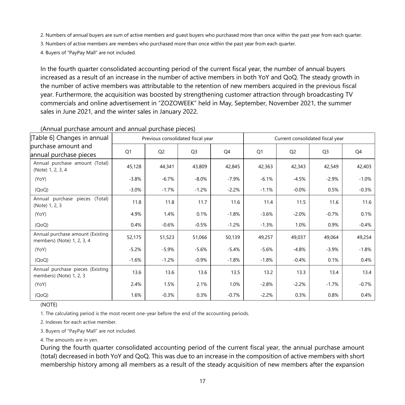2. Numbers of annual buyers are sum of active members and guest buyers who purchased more than once within the past year from each quarter.

3. Numbers of active members are members who purchased more than once within the past year from each quarter.

4. Buyers of "PayPay Mall" are not included.

In the fourth quarter consolidated accounting period of the current fiscal year, the number of annual buyers increased as a result of an increase in the number of active members in both YoY and QoQ. The steady growth in the number of active members was attributable to the retention of new members acquired in the previous fiscal year. Furthermore, the acquisition was boosted by strengthening customer attraction through broadcasting TV commercials and online advertisement in "ZOZOWEEK" held in May, September, November 2021, the summer sales in June 2021, and the winter sales in January 2022.

| [Table 6] Changes in annual                                    |         | Previous consolidated fiscal year |                |         | Current consolidated fiscal year |                |                |         |
|----------------------------------------------------------------|---------|-----------------------------------|----------------|---------|----------------------------------|----------------|----------------|---------|
| purchase amount and<br>annual purchase pieces                  | Q1      | Q <sub>2</sub>                    | Q <sub>3</sub> | Q4      | Q <sub>1</sub>                   | Q <sub>2</sub> | Q <sub>3</sub> | Q4      |
| Annual purchase amount (Total)<br>(Note) 1, 2, 3, 4            | 45,128  | 44,341                            | 43,809         | 42,845  | 42,363                           | 42,343         | 42,549         | 42,403  |
| (YoY)                                                          | $-3.8%$ | $-6.7%$                           | $-8.0\%$       | $-7.9%$ | $-6.1%$                          | $-4.5%$        | $-2.9%$        | $-1.0%$ |
| (QoQ)                                                          | $-3.0%$ | $-1.7%$                           | $-1.2%$        | $-2.2%$ | $-1.1%$                          | $-0.0\%$       | 0.5%           | $-0.3%$ |
| Annual purchase pieces (Total)<br>(Note) 1, 2, 3               | 11.8    | 11.8                              | 11.7           | 11.6    | 11.4                             | 11.5           | 11.6           | 11.6    |
| (YoY)                                                          | 4.9%    | 1.4%                              | 0.1%           | $-1.8%$ | $-3.6%$                          | $-2.0%$        | $-0.7%$        | 0.1%    |
| (QoQ)                                                          | 0.4%    | $-0.6%$                           | $-0.5%$        | $-1.2%$ | $-1.3%$                          | 1.0%           | 0.9%           | $-0.4%$ |
| Annual purchase amount (Existing<br>members) (Note) 1, 2, 3, 4 | 52,175  | 51,523                            | 51,066         | 50,139  | 49,257                           | 49,037         | 49,064         | 49,254  |
| (YoY)                                                          | $-5.2%$ | $-5.9%$                           | $-5.6%$        | $-5.4%$ | $-5.6%$                          | $-4.8%$        | $-3.9%$        | $-1.8%$ |
| (QoQ)                                                          | $-1.6%$ | $-1.2%$                           | $-0.9%$        | $-1.8%$ | $-1.8%$                          | $-0.4%$        | 0.1%           | 0.4%    |
| Annual purchase pieces (Existing<br>members) (Note) 1, 2, 3    | 13.6    | 13.6                              | 13.6           | 13.5    | 13.2                             | 13.3           | 13.4           | 13.4    |
| (YoY)                                                          | 2.4%    | 1.5%                              | 2.1%           | 1.0%    | $-2.8%$                          | $-2.2%$        | $-1.7%$        | $-0.7%$ |
| (QoQ)                                                          | 1.6%    | $-0.3%$                           | 0.3%           | $-0.7%$ | -2.2%                            | 0.3%           | 0.8%           | 0.4%    |

#### (Annual purchase amount and annual purchase pieces)

(NOTE)

1. The calculating period is the most recent one-year before the end of the accounting periods.

2. Indexes for each active member.

3. Buyers of "PayPay Mall" are not included.

4. The amounts are in yen.

During the fourth quarter consolidated accounting period of the current fiscal year, the annual purchase amount (total) decreased in both YoY and QoQ. This was due to an increase in the composition of active members with short membership history among all members as a result of the steady acquisition of new members after the expansion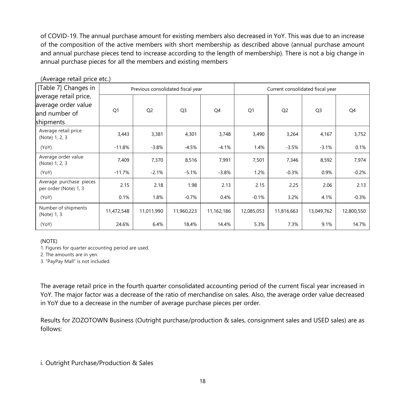of COVID-19. The annual purchase amount for existing members also decreased in YoY. This was due to an increase of the composition of the active members with short membership as described above (annual purchase amount and annual purchase pieces tend to increase according to the length of membership). There is not a big change in annual purchase pieces for all the members and existing members

| [Table 7] Changes in                                                       |                | Previous consolidated fiscal year |                |            | Current consolidated fiscal year |                |                |            |
|----------------------------------------------------------------------------|----------------|-----------------------------------|----------------|------------|----------------------------------|----------------|----------------|------------|
| average retail price,<br>average order value<br>and number of<br>shipments | Q <sub>1</sub> | Q <sub>2</sub>                    | Q <sub>3</sub> | Q4         | Q <sub>1</sub>                   | Q <sub>2</sub> | Q <sub>3</sub> | Q4         |
| Average retail price<br>(Note) 1, 2, 3                                     | 3,443          | 3,381                             | 4,301          | 3,748      | 3,490                            | 3,264          | 4,167          | 3,752      |
| (YoY)                                                                      | $-11.8%$       | $-3.8%$                           | $-4.5%$        | $-4.1%$    | 1.4%                             | $-3.5%$        | $-3.1%$        | 0.1%       |
| Average order value<br>(Note) 1, 2, 3                                      | 7,409          | 7,370                             | 8,516          | 7,991      | 7,501                            | 7,346          | 8,592          | 7,974      |
| (YoY)                                                                      | $-11.7%$       | $-2.1%$                           | $-5.1%$        | $-3.8%$    | 1.2%                             | $-0.3%$        | 0.9%           | $-0.2%$    |
| Average purchase pieces<br>per order (Note) 1, 3                           | 2.15           | 2.18                              | 1.98           | 2.13       | 2.15                             | 2.25           | 2.06           | 2.13       |
| (YoY)                                                                      | 0.1%           | 1.8%                              | $-0.7%$        | 0.4%       | $-0.1%$                          | 3.2%           | 4.1%           | $-0.3%$    |
| Number of shipments<br>(Note) 1, 3                                         | 11,472,548     | 11,011,990                        | 11,960,223     | 11,162,186 | 12,085,053                       | 11,816,663     | 13,049,762     | 12,800,550 |
| (YoY)                                                                      | 24.6%          | 6.4%                              | 18.4%          | 14.4%      | 5.3%                             | 7.3%           | 9.1%           | 14.7%      |

(Average retail price etc.)

(NOTE)

1. Figures for quarter accounting period are used.

2. The amounts are in yen.

3. "PayPay Mall" is not included.

The average retail price in the fourth quarter consolidated accounting period of the current fiscal year increased in YoY. The major factor was a decrease of the ratio of merchandise on sales. Also, the average order value decreased in YoY due to a decrease in the number of average purchase pieces per order.

Results for ZOZOTOWN Business (Outright purchase/production & sales, consignment sales and USED sales) are as follows:

i. Outright Purchase/Production & Sales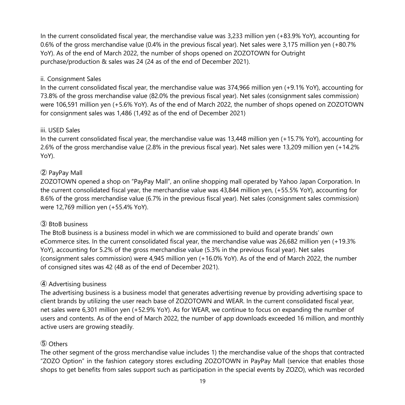In the current consolidated fiscal year, the merchandise value was 3,233 million yen (+83.9% YoY), accounting for 0.6% of the gross merchandise value (0.4% in the previous fiscal year). Net sales were 3,175 million yen (+80.7% YoY). As of the end of March 2022, the number of shops opened on ZOZOTOWN for Outright purchase/production & sales was 24 (24 as of the end of December 2021).

#### ii. Consignment Sales

In the current consolidated fiscal year, the merchandise value was 374,966 million yen (+9.1% YoY), accounting for 73.8% of the gross merchandise value (82.0% the previous fiscal year). Net sales (consignment sales commission) were 106,591 million yen (+5.6% YoY). As of the end of March 2022, the number of shops opened on ZOZOTOWN for consignment sales was 1,486 (1,492 as of the end of December 2021)

#### iii. USED Sales

In the current consolidated fiscal year, the merchandise value was 13,448 million yen (+15.7% YoY), accounting for 2.6% of the gross merchandise value (2.8% in the previous fiscal year). Net sales were 13,209 million yen (+14.2% YoY).

# ② PayPay Mall

ZOZOTOWN opened a shop on "PayPay Mall", an online shopping mall operated by Yahoo Japan Corporation. In the current consolidated fiscal year, the merchandise value was 43,844 million yen, (+55.5% YoY), accounting for 8.6% of the gross merchandise value (6.7% in the previous fiscal year). Net sales (consignment sales commission) were 12,769 million yen (+55.4% YoY).

### ③ BtoB business

The BtoB business is a business model in which we are commissioned to build and operate brands' own eCommerce sites. In the current consolidated fiscal year, the merchandise value was 26,682 million yen (+19.3% YoY), accounting for 5.2% of the gross merchandise value (5.3% in the previous fiscal year). Net sales (consignment sales commission) were 4,945 million yen (+16.0% YoY). As of the end of March 2022, the number of consigned sites was 42 (48 as of the end of December 2021).

### ④ Advertising business

The advertising business is a business model that generates advertising revenue by providing advertising space to client brands by utilizing the user reach base of ZOZOTOWN and WEAR. In the current consolidated fiscal year, net sales were 6,301 million yen (+52.9% YoY). As for WEAR, we continue to focus on expanding the number of users and contents. As of the end of March 2022, the number of app downloads exceeded 16 million, and monthly active users are growing steadily.

### ⑤ Others

The other segment of the gross merchandise value includes 1) the merchandise value of the shops that contracted "ZOZO Option" in the fashion category stores excluding ZOZOTOWN in PayPay Mall (service that enables those shops to get benefits from sales support such as participation in the special events by ZOZO), which was recorded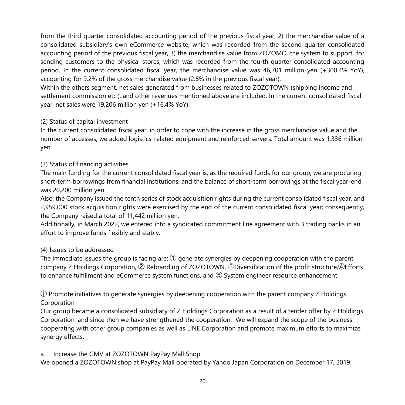from the third quarter consolidated accounting period of the previous fiscal year, 2) the merchandise value of a consolidated subsidiary's own eCommerce website, which was recorded from the second quarter consolidated accounting period of the previous fiscal year, 3) the merchandise value from ZOZOMO, the system to support for sending customers to the physical stores, which was recorded from the fourth quarter consolidated accounting period. In the current consolidated fiscal year, the merchandise value was 46,701 million yen (+300.4% YoY), accounting for 9.2% of the gross merchandise value (2.8% in the previous fiscal year).

Within the others segment, net sales generated from businesses related to ZOZOTOWN (shipping income and settlement commission etc.), and other revenues mentioned above are included. In the current consolidated fiscal year, net sales were 19,206 million yen (+16.4% YoY).

#### (2) Status of capital investment

In the current consolidated fiscal year, in order to cope with the increase in the gross merchandise value and the number of accesses, we added logistics-related equipment and reinforced servers. Total amount was 1,336 million yen.

### (3) Status of financing activities

The main funding for the current consolidated fiscal year is, as the required funds for our group, we are procuring short-term borrowings from financial institutions, and the balance of short-term borrowings at the fiscal year-end was 20,200 million yen.

Also, the Company issued the tenth series of stock acquisition rights during the current consolidated fiscal year, and 2,959,000 stock acquisition rights were exercised by the end of the current consolidated fiscal year; consequently, the Company raised a total of 11,442 million yen.

Additionally, in March 2022, we entered into a syndicated commitment line agreement with 3 trading banks in an effort to improve funds flexibly and stably.

#### (4) Issues to be addressed

The immediate issues the group is facing are:  $\mathcal D$  generate synergies by deepening cooperation with the parent company Z Holdings Corporation, ② Rebranding of ZOZOTOWN, ③Diversification of the profit structure,④Efforts to enhance fulfillment and eCommerce system functions, and ⑤ System engineer resource enhancement.

① Promote initiatives to generate synergies by deepening cooperation with the parent company Z Holdings Corporation

Our group became a consolidated subsidiary of Z Holdings Corporation as a result of a tender offer by Z Holdings Corporation, and since then we have strengthened the cooperation. We will expand the scope of the business cooperating with other group companies as well as LINE Corporation and promote maximum efforts to maximize synergy effects.

#### a. Increase the GMV at ZOZOTOWN PayPay Mall Shop

We opened a ZOZOTOWN shop at PayPay Mall operated by Yahoo Japan Corporation on December 17, 2019.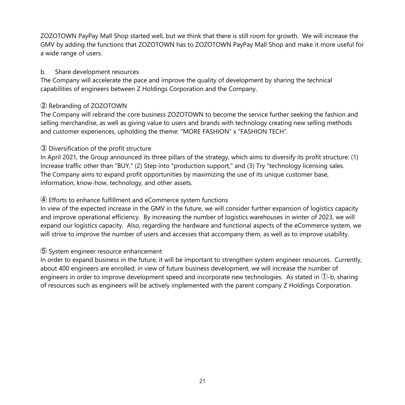ZOZOTOWN PayPay Mall Shop started well, but we think that there is still room for growth. We will increase the GMV by adding the functions that ZOZOTOWN has to ZOZOTOWN PayPay Mall Shop and make it more useful for a wide range of users.

#### b. Share development resources

The Company will accelerate the pace and improve the quality of development by sharing the technical capabilities of engineers between Z Holdings Corporation and the Company.

### ② Rebranding of ZOZOTOWN

The Company will rebrand the core business ZOZOTOWN to become the service further seeking the fashion and selling merchandise, as well as giving value to users and brands with technology creating new selling methods and customer experiences, upholding the theme: "MORE FASHION" x "FASHION TECH".

# ③ Diversification of the profit structure

In April 2021, the Group announced its three pillars of the strategy, which aims to diversify its profit structure: (1) Increase traffic other than "BUY," (2) Step into "production support," and (3) Try "technology licensing sales. The Company aims to expand profit opportunities by maximizing the use of its unique customer base, information, know-how, technology, and other assets.

# ④ Efforts to enhance fulfillment and eCommerce system functions

In view of the expected increase in the GMV in the future, we will consider further expansion of logistics capacity and improve operational efficiency. By increasing the number of logistics warehouses in winter of 2023, we will expand our logistics capacity. Also, regarding the hardware and functional aspects of the eCommerce system, we will strive to improve the number of users and accesses that accompany them, as well as to improve usability.

### ⑤ System engineer resource enhancement

In order to expand business in the future, it will be important to strengthen system engineer resources. Currently, about 400 engineers are enrolled; in view of future business development, we will increase the number of engineers in order to improve development speed and incorporate new technologies. As stated in ①-b, sharing of resources such as engineers will be actively implemented with the parent company Z Holdings Corporation.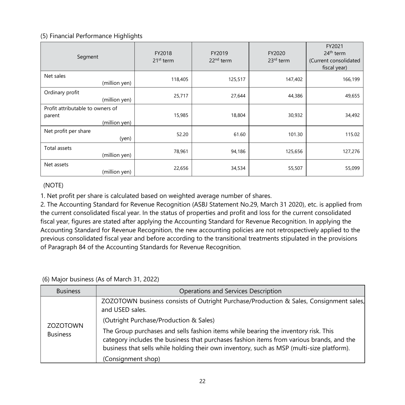#### (5) Financial Performance Highlights

| Segment                                                     | FY2018<br>$21st$ term | FY2019<br>22 <sup>nd</sup> term | FY2020<br>$23rd$ term | FY2021<br>24 <sup>th</sup> term<br>(Current consolidated<br>fiscal year) |
|-------------------------------------------------------------|-----------------------|---------------------------------|-----------------------|--------------------------------------------------------------------------|
| Net sales<br>(million yen)                                  | 118,405               | 125,517                         | 147,402               | 166,199                                                                  |
| Ordinary profit<br>(million yen)                            | 25,717                | 27,644                          | 44,386                | 49,655                                                                   |
| Profit attributable to owners of<br>parent<br>(million yen) | 15,985                | 18,804                          | 30,932                | 34,492                                                                   |
| Net profit per share<br>(yen)                               | 52.20                 | 61.60                           | 101.30                | 115.02                                                                   |
| Total assets<br>(million yen)                               | 78,961                | 94,186                          | 125,656               | 127,276                                                                  |
| Net assets<br>(million yen)                                 | 22,656                | 34,534                          | 55,507                | 55,099                                                                   |

### (NOTE)

1. Net profit per share is calculated based on weighted average number of shares.

2. The Accounting Standard for Revenue Recognition (ASBJ Statement No.29, March 31 2020), etc. is applied from the current consolidated fiscal year. In the status of properties and profit and loss for the current consolidated fiscal year, figures are stated after applying the Accounting Standard for Revenue Recognition. In applying the Accounting Standard for Revenue Recognition, the new accounting policies are not retrospectively applied to the previous consolidated fiscal year and before according to the transitional treatments stipulated in the provisions of Paragraph 84 of the Accounting Standards for Revenue Recognition.

### (6) Major business (As of March 31, 2022)

| <b>Business</b>                    | Operations and Services Description                                                                                                                                                                                                                                         |
|------------------------------------|-----------------------------------------------------------------------------------------------------------------------------------------------------------------------------------------------------------------------------------------------------------------------------|
|                                    | ZOZOTOWN business consists of Outright Purchase/Production & Sales, Consignment sales,<br>and USED sales.                                                                                                                                                                   |
|                                    | (Outright Purchase/Production & Sales)                                                                                                                                                                                                                                      |
| <b>ZOZOTOWN</b><br><b>Business</b> | The Group purchases and sells fashion items while bearing the inventory risk. This<br>category includes the business that purchases fashion items from various brands, and the<br>business that sells while holding their own inventory, such as MSP (multi-size platform). |
|                                    | (Consignment shop)                                                                                                                                                                                                                                                          |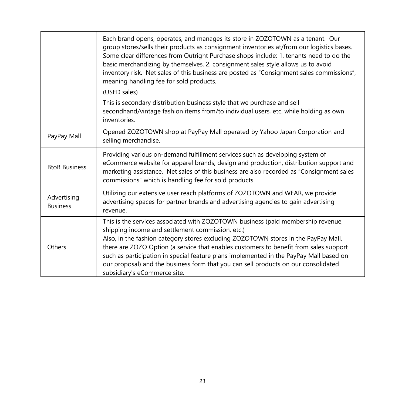|                                | Each brand opens, operates, and manages its store in ZOZOTOWN as a tenant. Our<br>group stores/sells their products as consignment inventories at/from our logistics bases.<br>Some clear differences from Outright Purchase shops include: 1. tenants need to do the<br>basic merchandizing by themselves, 2. consignment sales style allows us to avoid<br>inventory risk. Net sales of this business are posted as "Consignment sales commissions",<br>meaning handling fee for sold products.<br>(USED sales)<br>This is secondary distribution business style that we purchase and sell<br>secondhand/vintage fashion items from/to individual users, etc. while holding as own |
|--------------------------------|--------------------------------------------------------------------------------------------------------------------------------------------------------------------------------------------------------------------------------------------------------------------------------------------------------------------------------------------------------------------------------------------------------------------------------------------------------------------------------------------------------------------------------------------------------------------------------------------------------------------------------------------------------------------------------------|
|                                | inventories.                                                                                                                                                                                                                                                                                                                                                                                                                                                                                                                                                                                                                                                                         |
| PayPay Mall                    | Opened ZOZOTOWN shop at PayPay Mall operated by Yahoo Japan Corporation and<br>selling merchandise.                                                                                                                                                                                                                                                                                                                                                                                                                                                                                                                                                                                  |
| <b>BtoB Business</b>           | Providing various on-demand fulfillment services such as developing system of<br>eCommerce website for apparel brands, design and production, distribution support and<br>marketing assistance. Net sales of this business are also recorded as "Consignment sales<br>commissions" which is handling fee for sold products.                                                                                                                                                                                                                                                                                                                                                          |
| Advertising<br><b>Business</b> | Utilizing our extensive user reach platforms of ZOZOTOWN and WEAR, we provide<br>advertising spaces for partner brands and advertising agencies to gain advertising<br>revenue.                                                                                                                                                                                                                                                                                                                                                                                                                                                                                                      |
| Others                         | This is the services associated with ZOZOTOWN business (paid membership revenue,<br>shipping income and settlement commission, etc.)<br>Also, in the fashion category stores excluding ZOZOTOWN stores in the PayPay Mall,<br>there are ZOZO Option (a service that enables customers to benefit from sales support<br>such as participation in special feature plans implemented in the PayPay Mall based on<br>our proposal) and the business form that you can sell products on our consolidated<br>subsidiary's eCommerce site.                                                                                                                                                  |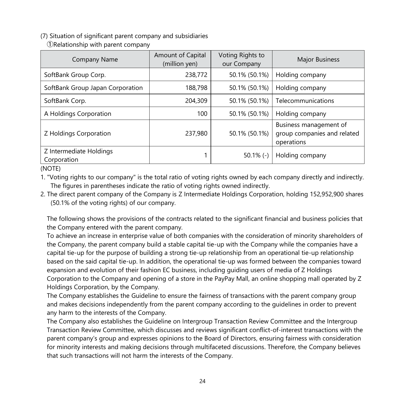(7) Situation of significant parent company and subsidiaries

| <b>Company Name</b>                    | Amount of Capital<br>(million yen) | Voting Rights to<br>our Company | Major Business                                                      |
|----------------------------------------|------------------------------------|---------------------------------|---------------------------------------------------------------------|
| SoftBank Group Corp.                   | 238,772                            | 50.1% (50.1%)                   | Holding company                                                     |
| SoftBank Group Japan Corporation       | 188,798                            | 50.1% (50.1%)                   | Holding company                                                     |
| SoftBank Corp.                         | 204,309                            | 50.1% (50.1%)                   | Telecommunications                                                  |
| A Holdings Corporation                 | 100                                | 50.1% (50.1%)                   | Holding company                                                     |
| Z Holdings Corporation                 | 237,980                            | 50.1% (50.1%)                   | Business management of<br>group companies and related<br>operations |
| Z Intermediate Holdings<br>Corporation |                                    | $50.1\%$ (-)                    | Holding company                                                     |

①Relationship with parent company

(NOTE)

1. "Voting rights to our company" is the total ratio of voting rights owned by each company directly and indirectly. The figures in parentheses indicate the ratio of voting rights owned indirectly.

2. The direct parent company of the Company is Z Intermediate Holdings Corporation, holding 152,952,900 shares (50.1% of the voting rights) of our company.

The following shows the provisions of the contracts related to the significant financial and business policies that the Company entered with the parent company.

To achieve an increase in enterprise value of both companies with the consideration of minority shareholders of the Company, the parent company build a stable capital tie-up with the Company while the companies have a capital tie-up for the purpose of building a strong tie-up relationship from an operational tie-up relationship based on the said capital tie-up. In addition, the operational tie-up was formed between the companies toward expansion and evolution of their fashion EC business, including guiding users of media of Z Holdings Corporation to the Company and opening of a store in the PayPay Mall, an online shopping mall operated by Z Holdings Corporation, by the Company.

The Company establishes the Guideline to ensure the fairness of transactions with the parent company group and makes decisions independently from the parent company according to the guidelines in order to prevent any harm to the interests of the Company.

The Company also establishes the Guideline on Intergroup Transaction Review Committee and the Intergroup Transaction Review Committee, which discusses and reviews significant conflict-of-interest transactions with the parent company's group and expresses opinions to the Board of Directors, ensuring fairness with consideration for minority interests and making decisions through multifaceted discussions. Therefore, the Company believes that such transactions will not harm the interests of the Company.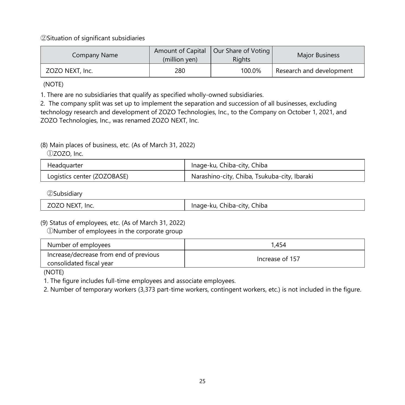②Situation of significant subsidiaries

| Company Name    | (million ven) | Amount of Capital   Our Share of Voting  <br>Riahts | <b>Major Business</b>    |
|-----------------|---------------|-----------------------------------------------------|--------------------------|
| ZOZO NEXT, Inc. | 280           | 100.0%                                              | Research and development |

(NOTE)

1. There are no subsidiaries that qualify as specified wholly-owned subsidiaries.

2. The company split was set up to implement the separation and succession of all businesses, excluding technology research and development of ZOZO Technologies, Inc., to the Company on October 1, 2021, and ZOZO Technologies, Inc., was renamed ZOZO NEXT, Inc.

# (8) Main places of business, etc. (As of March 31, 2022)

①ZOZO, Inc.

| Headquarter                 | Inage-ku, Chiba-city, Chiba                  |
|-----------------------------|----------------------------------------------|
| Logistics center (ZOZOBASE) | Narashino-city, Chiba, Tsukuba-city, Ibaraki |

②Subsidiary

|--|

#### (9) Status of employees, etc. (As of March 31, 2022)

①Number of employees in the corporate group

| Number of employees                                                | 1.454           |
|--------------------------------------------------------------------|-----------------|
| Increase/decrease from end of previous<br>consolidated fiscal year | Increase of 157 |

(NOTE)

1. The figure includes full-time employees and associate employees.

2. Number of temporary workers (3,373 part-time workers, contingent workers, etc.) is not included in the figure.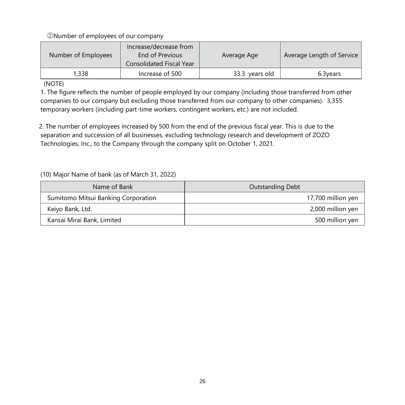②Number of employees of our company

| Number of Employees | Increase/decrease from<br>End of Previous<br><b>Consolidated Fiscal Year</b> | Average Age    | Average Length of Service |
|---------------------|------------------------------------------------------------------------------|----------------|---------------------------|
| 1,338               | Increase of 500                                                              | 33.3 years old | 6.3 years                 |

#### (NOTE)

1. The figure reflects the number of people employed by our company (including those transferred from other companies to our company but excluding those transferred from our company to other companies). 3,355 temporary workers (including part-time workers, contingent workers, etc.) are not included.

2. The number of employees increased by 500 from the end of the previous fiscal year. This is due to the separation and succession of all businesses, excluding technology research and development of ZOZO Technologies, Inc., to the Company through the company split on October 1, 2021.

(10) Major Name of bank (as of March 31, 2022)

| Name of Bank                        | Outstanding Debt   |
|-------------------------------------|--------------------|
| Sumitomo Mitsui Banking Corporation | 17,700 million yen |
| Keiyo Bank, Ltd.                    | 2,000 million yen  |
| Kansai Mirai Bank, Limited          | 500 million yen    |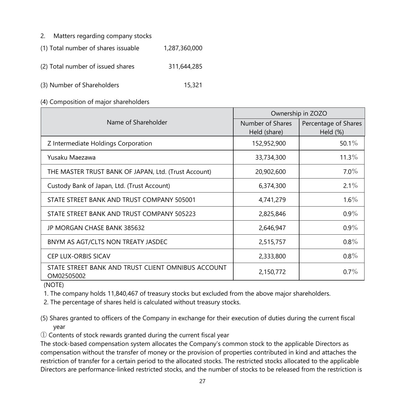- 2. Matters regarding company stocks
- (1) Total number of shares issuable 1,287,360,000
- (2) Total number of issued shares 311,644,285
- (3) Number of Shareholders 15,321
- (4) Composition of major shareholders

|                                                                  | Ownership in ZOZO |                      |
|------------------------------------------------------------------|-------------------|----------------------|
| Name of Shareholder                                              | Number of Shares  | Percentage of Shares |
|                                                                  | Held (share)      | Held (%)             |
| Z Intermediate Holdings Corporation                              | 152,952,900       | 50.1 $%$             |
| Yusaku Maezawa                                                   | 33,734,300        | $11.3\%$             |
| THE MASTER TRUST BANK OF JAPAN, Ltd. (Trust Account)             | 20,902,600        | $7.0\%$              |
| Custody Bank of Japan, Ltd. (Trust Account)                      | 6,374,300         | $2.1\%$              |
| STATE STREET BANK AND TRUST COMPANY 505001                       | 4,741,279         | $1.6\%$              |
| STATE STREET BANK AND TRUST COMPANY 505223                       | 2,825,846         | $0.9\%$              |
| JP MORGAN CHASE BANK 385632                                      | 2,646,947         | $0.9\%$              |
| BNYM AS AGT/CLTS NON TREATY JASDEC                               | 2,515,757         | $0.8\%$              |
| <b>CEP LUX-ORBIS SICAV</b>                                       | 2,333,800         | $0.8\%$              |
| STATE STREET BANK AND TRUST CLIENT OMNIBUS ACCOUNT<br>OM02505002 | 2,150,772         | $0.7\%$              |

(NOTE)

1. The company holds 11,840,467 of treasury stocks but excluded from the above major shareholders.

2. The percentage of shares held is calculated without treasury stocks.

- (5) Shares granted to officers of the Company in exchange for their execution of duties during the current fiscal year
- ① Contents of stock rewards granted during the current fiscal year

The stock-based compensation system allocates the Company's common stock to the applicable Directors as compensation without the transfer of money or the provision of properties contributed in kind and attaches the restriction of transfer for a certain period to the allocated stocks. The restricted stocks allocated to the applicable Directors are performance-linked restricted stocks, and the number of stocks to be released from the restriction is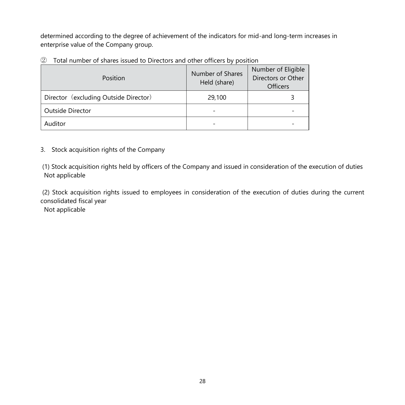determined according to the degree of achievement of the indicators for mid-and long-term increases in enterprise value of the Company group.

② Total number of shares issued to Directors and other officers by position

| Position                              | Number of Shares<br>Held (share) | Number of Eligible<br>Directors or Other<br><b>Officers</b> |
|---------------------------------------|----------------------------------|-------------------------------------------------------------|
| Director (excluding Outside Director) | 29,100                           |                                                             |
| Outside Director                      |                                  |                                                             |
| Auditor                               |                                  |                                                             |

### 3. Stock acquisition rights of the Company

(1) Stock acquisition rights held by officers of the Company and issued in consideration of the execution of duties Not applicable

(2) Stock acquisition rights issued to employees in consideration of the execution of duties during the current consolidated fiscal year

Not applicable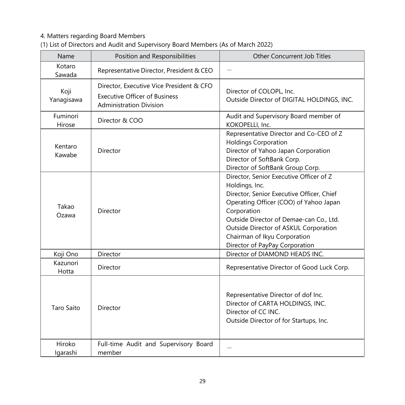# 4. Matters regarding Board Members

| Name               | Position and Responsibilities                                                                                      | Other Concurrent Job Titles                                                                                                                                                                                                                                                                                           |
|--------------------|--------------------------------------------------------------------------------------------------------------------|-----------------------------------------------------------------------------------------------------------------------------------------------------------------------------------------------------------------------------------------------------------------------------------------------------------------------|
| Kotaro<br>Sawada   | Representative Director, President & CEO                                                                           |                                                                                                                                                                                                                                                                                                                       |
| Koji<br>Yanagisawa | Director, Executive Vice President & CFO<br><b>Executive Officer of Business</b><br><b>Administration Division</b> | Director of COLOPL, Inc.<br>Outside Director of DIGITAL HOLDINGS, INC.                                                                                                                                                                                                                                                |
| Fuminori<br>Hirose | Director & COO                                                                                                     | Audit and Supervisory Board member of<br>KOKOPELLI, Inc.                                                                                                                                                                                                                                                              |
| Kentaro<br>Kawabe  | Director                                                                                                           | Representative Director and Co-CEO of Z<br><b>Holdings Corporation</b><br>Director of Yahoo Japan Corporation<br>Director of SoftBank Corp.<br>Director of SoftBank Group Corp.                                                                                                                                       |
| Takao<br>Ozawa     | Director                                                                                                           | Director, Senior Executive Officer of Z<br>Holdings, Inc.<br>Director, Senior Executive Officer, Chief<br>Operating Officer (COO) of Yahoo Japan<br>Corporation<br>Outside Director of Demae-can Co., Ltd.<br>Outside Director of ASKUL Corporation<br>Chairman of Ikyu Corporation<br>Director of PayPay Corporation |
| Koji Ono           | Director                                                                                                           | Director of DIAMOND HEADS INC.                                                                                                                                                                                                                                                                                        |
| Kazunori<br>Hotta  | Director                                                                                                           | Representative Director of Good Luck Corp.                                                                                                                                                                                                                                                                            |
| <b>Taro Saito</b>  | Director                                                                                                           | Representative Director of dof Inc.<br>Director of CARTA HOLDINGS, INC.<br>Director of CC INC.<br>Outside Director of for Startups, Inc.                                                                                                                                                                              |
| Hiroko<br>Igarashi | Full-time Audit and Supervisory Board<br>member                                                                    |                                                                                                                                                                                                                                                                                                                       |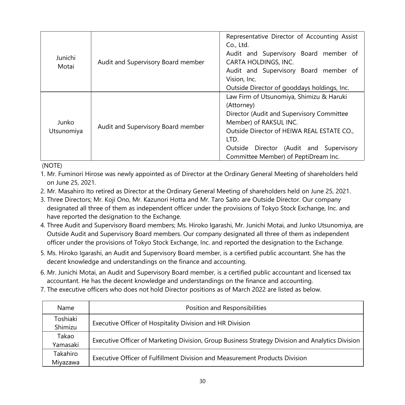|                     |                                    | Representative Director of Accounting Assist |  |
|---------------------|------------------------------------|----------------------------------------------|--|
|                     |                                    | Co., Ltd.                                    |  |
| Junichi             |                                    | Audit and Supervisory Board member of        |  |
| Motai               | Audit and Supervisory Board member | CARTA HOLDINGS, INC.                         |  |
|                     |                                    | Audit and Supervisory Board member of        |  |
|                     |                                    | Vision, Inc.                                 |  |
|                     |                                    | Outside Director of gooddays holdings, Inc.  |  |
|                     | Audit and Supervisory Board member | Law Firm of Utsunomiya, Shimizu & Haruki     |  |
|                     |                                    | (Attorney)                                   |  |
|                     |                                    | Director (Audit and Supervisory Committee    |  |
| Junko<br>Utsunomiya |                                    | Member) of RAKSUL INC.                       |  |
|                     |                                    | Outside Director of HEIWA REAL ESTATE CO.,   |  |
|                     |                                    | LTD.                                         |  |
|                     |                                    | Outside Director (Audit and Supervisory      |  |
|                     |                                    | Committee Member) of PeptiDream Inc.         |  |

(NOTE)

1. Mr. Fuminori Hirose was newly appointed as of Director at the Ordinary General Meeting of shareholders held on June 25, 2021.

- 2. Mr. Masahiro Ito retired as Director at the Ordinary General Meeting of shareholders held on June 25, 2021.
- 3. Three Directors; Mr. Koji Ono, Mr. Kazunori Hotta and Mr. Taro Saito are Outside Director. Our company designated all three of them as independent officer under the provisions of Tokyo Stock Exchange, Inc. and have reported the designation to the Exchange.
- 4. Three Audit and Supervisory Board members; Ms. Hiroko Igarashi, Mr. Junichi Motai, and Junko Utsunomiya, are Outside Audit and Supervisory Board members. Our company designated all three of them as independent officer under the provisions of Tokyo Stock Exchange, Inc. and reported the designation to the Exchange.
- 5. Ms. Hiroko Igarashi, an Audit and Supervisory Board member, is a certified public accountant. She has the decent knowledge and understandings on the finance and accounting.
- 6. Mr. Junichi Motai, an Audit and Supervisory Board member, is a certified public accountant and licensed tax accountant. He has the decent knowledge and understandings on the finance and accounting.
- 7. The executive officers who does not hold Director positions as of March 2022 are listed as below.

| Name                 | Position and Responsibilities                                                                    |
|----------------------|--------------------------------------------------------------------------------------------------|
| Toshiaki<br>Shimizu  | Executive Officer of Hospitality Division and HR Division                                        |
| Takao<br>Yamasaki    | Executive Officer of Marketing Division, Group Business Strategy Division and Analytics Division |
| Takahiro<br>Mivazawa | Executive Officer of Fulfillment Division and Measurement Products Division                      |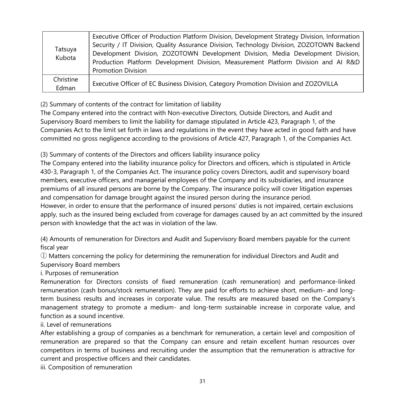| Tatsuya<br>Kubota  | Executive Officer of Production Platform Division, Development Strategy Division, Information<br>Security / IT Division, Quality Assurance Division, Technology Division, ZOZOTOWN Backend<br>Development Division, ZOZOTOWN Development Division, Media Development Division,<br>Production Platform Development Division, Measurement Platform Division and Al R&D<br><b>Promotion Division</b> |
|--------------------|---------------------------------------------------------------------------------------------------------------------------------------------------------------------------------------------------------------------------------------------------------------------------------------------------------------------------------------------------------------------------------------------------|
| Christine<br>Edman | Executive Officer of EC Business Division, Category Promotion Division and ZOZOVILLA                                                                                                                                                                                                                                                                                                              |

(2) Summary of contents of the contract for limitation of liability

The Company entered into the contract with Non-executive Directors, Outside Directors, and Audit and Supervisory Board members to limit the liability for damage stipulated in Article 423, Paragraph 1, of the Companies Act to the limit set forth in laws and regulations in the event they have acted in good faith and have committed no gross negligence according to the provisions of Article 427, Paragraph 1, of the Companies Act.

(3) Summary of contents of the Directors and officers liability insurance policy

The Company entered into the liability insurance policy for Directors and officers, which is stipulated in Article 430-3, Paragraph 1, of the Companies Act. The insurance policy covers Directors, audit and supervisory board members, executive officers, and managerial employees of the Company and its subsidiaries, and insurance premiums of all insured persons are borne by the Company. The insurance policy will cover litigation expenses and compensation for damage brought against the insured person during the insurance period. However, in order to ensure that the performance of insured persons' duties is not impaired, certain exclusions apply, such as the insured being excluded from coverage for damages caused by an act committed by the insured person with knowledge that the act was in violation of the law.

(4) Amounts of remuneration for Directors and Audit and Supervisory Board members payable for the current fiscal year

① Matters concerning the policy for determining the remuneration for individual Directors and Audit and Supervisory Board members

i. Purposes of remuneration

Remuneration for Directors consists of fixed remuneration (cash remuneration) and performance-linked remuneration (cash bonus/stock remuneration). They are paid for efforts to achieve short, medium- and longterm business results and increases in corporate value. The results are measured based on the Company's management strategy to promote a medium- and long-term sustainable increase in corporate value, and function as a sound incentive.

ii. Level of remunerations

After establishing a group of companies as a benchmark for remuneration, a certain level and composition of remuneration are prepared so that the Company can ensure and retain excellent human resources over competitors in terms of business and recruiting under the assumption that the remuneration is attractive for current and prospective officers and their candidates.

iii. Composition of remuneration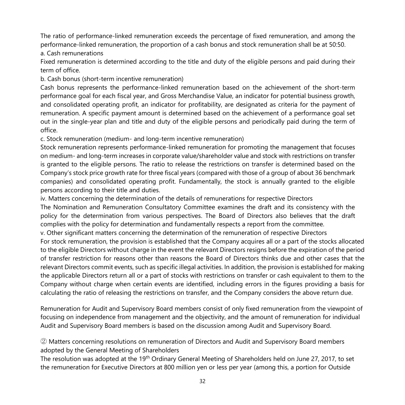The ratio of performance-linked remuneration exceeds the percentage of fixed remuneration, and among the performance-linked remuneration, the proportion of a cash bonus and stock remuneration shall be at 50:50.

a. Cash remunerations

Fixed remuneration is determined according to the title and duty of the eligible persons and paid during their term of office.

b. Cash bonus (short-term incentive remuneration)

Cash bonus represents the performance-linked remuneration based on the achievement of the short-term performance goal for each fiscal year, and Gross Merchandise Value, an indicator for potential business growth, and consolidated operating profit, an indicator for profitability, are designated as criteria for the payment of remuneration. A specific payment amount is determined based on the achievement of a performance goal set out in the single-year plan and title and duty of the eligible persons and periodically paid during the term of office.

c. Stock remuneration (medium- and long-term incentive remuneration)

Stock remuneration represents performance-linked remuneration for promoting the management that focuses on medium- and long-term increases in corporate value/shareholder value and stock with restrictions on transfer is granted to the eligible persons. The ratio to release the restrictions on transfer is determined based on the Company's stock price growth rate for three fiscal years (compared with those of a group of about 36 benchmark companies) and consolidated operating profit. Fundamentally, the stock is annually granted to the eligible persons according to their title and duties.

iv. Matters concerning the determination of the details of remunerations for respective Directors

The Nomination and Remuneration Consultatory Committee examines the draft and its consistency with the policy for the determination from various perspectives. The Board of Directors also believes that the draft complies with the policy for determination and fundamentally respects a report from the committee.

v. Other significant matters concerning the determination of the remuneration of respective Directors

For stock remuneration, the provision is established that the Company acquires all or a part of the stocks allocated to the eligible Directors without charge in the event the relevant Directors resigns before the expiration of the period of transfer restriction for reasons other than reasons the Board of Directors thinks due and other cases that the relevant Directors commit events, such as specific illegal activities. In addition, the provision is established for making the applicable Directors return all or a part of stocks with restrictions on transfer or cash equivalent to them to the Company without charge when certain events are identified, including errors in the figures providing a basis for calculating the ratio of releasing the restrictions on transfer, and the Company considers the above return due.

Remuneration for Audit and Supervisory Board members consist of only fixed remuneration from the viewpoint of focusing on independence from management and the objectivity, and the amount of remuneration for individual Audit and Supervisory Board members is based on the discussion among Audit and Supervisory Board.

② Matters concerning resolutions on remuneration of Directors and Audit and Supervisory Board members adopted by the General Meeting of Shareholders

The resolution was adopted at the 19<sup>th</sup> Ordinary General Meeting of Shareholders held on June 27, 2017, to set the remuneration for Executive Directors at 800 million yen or less per year (among this, a portion for Outside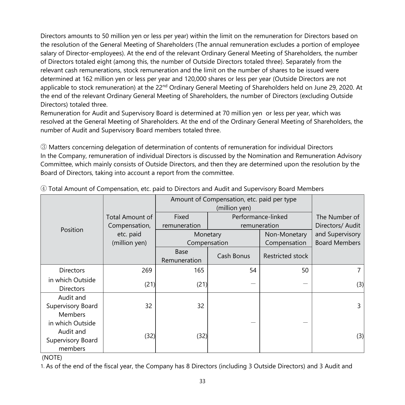Directors amounts to 50 million yen or less per year) within the limit on the remuneration for Directors based on the resolution of the General Meeting of Shareholders (The annual remuneration excludes a portion of employee salary of Director-employees). At the end of the relevant Ordinary General Meeting of Shareholders, the number of Directors totaled eight (among this, the number of Outside Directors totaled three). Separately from the relevant cash remunerations, stock remuneration and the limit on the number of shares to be issued were determined at 162 million yen or less per year and 120,000 shares or less per year (Outside Directors are not applicable to stock remuneration) at the 22<sup>nd</sup> Ordinary General Meeting of Shareholders held on June 29, 2020. At the end of the relevant Ordinary General Meeting of Shareholders, the number of Directors (excluding Outside Directors) totaled three.

Remuneration for Audit and Supervisory Board is determined at 70 million yen or less per year, which was resolved at the General Meeting of Shareholders. At the end of the Ordinary General Meeting of Shareholders, the number of Audit and Supervisory Board members totaled three.

③ Matters concerning delegation of determination of contents of remuneration for individual Directors In the Company, remuneration of individual Directors is discussed by the Nomination and Remuneration Advisory Committee, which mainly consists of Outside Directors, and then they are determined upon the resolution by the Board of Directors, taking into account a report from the committee.

|                                                               |                 | Amount of Compensation, etc. paid per type |                    |                  |                      |
|---------------------------------------------------------------|-----------------|--------------------------------------------|--------------------|------------------|----------------------|
|                                                               | Total Amount of | Fixed                                      | Performance-linked |                  | The Number of        |
| Position                                                      | Compensation,   | remuneration                               | remuneration       |                  | Directors/ Audit     |
|                                                               | etc. paid       |                                            | Monetary           | Non-Monetary     | and Supervisory      |
|                                                               | (million yen)   |                                            | Compensation       | Compensation     | <b>Board Members</b> |
|                                                               |                 | Base<br>Remuneration                       | Cash Bonus         | Restricted stock |                      |
| <b>Directors</b>                                              | 269             | 165                                        | 54                 | 50               |                      |
| in which Outside<br><b>Directors</b>                          | (21)            | (21)                                       |                    |                  | (3)                  |
| Audit and<br>Supervisory Board<br><b>Members</b>              | 32              | 32                                         |                    |                  | 3                    |
| in which Outside<br>Audit and<br>Supervisory Board<br>members | (32)            | (32)                                       |                    |                  | (3)                  |

④ Total Amount of Compensation, etc. paid to Directors and Audit and Supervisory Board Members

(NOTE)

1. As of the end of the fiscal year, the Company has 8 Directors (including 3 Outside Directors) and 3 Audit and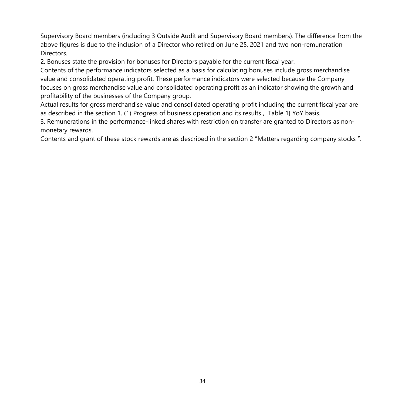Supervisory Board members (including 3 Outside Audit and Supervisory Board members). The difference from the above figures is due to the inclusion of a Director who retired on June 25, 2021 and two non-remuneration Directors.

2. Bonuses state the provision for bonuses for Directors payable for the current fiscal year.

Contents of the performance indicators selected as a basis for calculating bonuses include gross merchandise value and consolidated operating profit. These performance indicators were selected because the Company focuses on gross merchandise value and consolidated operating profit as an indicator showing the growth and profitability of the businesses of the Company group.

Actual results for gross merchandise value and consolidated operating profit including the current fiscal year are as described in the section 1. (1) Progress of business operation and its results , [Table 1] YoY basis.

3. Remunerations in the performance-linked shares with restriction on transfer are granted to Directors as nonmonetary rewards.

Contents and grant of these stock rewards are as described in the section 2 "Matters regarding company stocks ".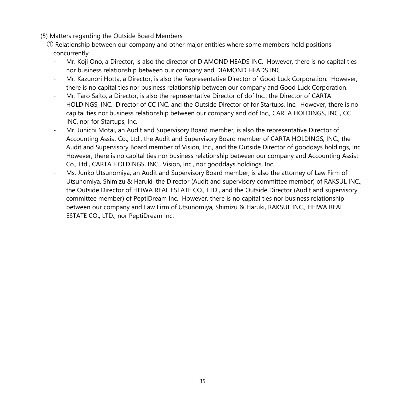#### (5) Matters regarding the Outside Board Members

- ① Relationship between our company and other major entities where some members hold positions concurrently.
	- Mr. Koji Ono, a Director, is also the director of DIAMOND HEADS INC. However, there is no capital ties nor business relationship between our company and DIAMOND HEADS INC.
	- Mr. Kazunori Hotta, a Director, is also the Representative Director of Good Luck Corporation. However, there is no capital ties nor business relationship between our company and Good Luck Corporation.
	- Mr. Taro Saito, a Director, is also the representative Director of dof Inc., the Director of CARTA HOLDINGS, INC., Director of CC INC. and the Outside Director of for Startups, Inc. However, there is no capital ties nor business relationship between our company and dof Inc., CARTA HOLDINGS, INC., CC INC. nor for Startups, Inc.
	- Mr. Junichi Motai, an Audit and Supervisory Board member, is also the representative Director of Accounting Assist Co., Ltd., the Audit and Supervisory Board member of CARTA HOLDINGS, INC., the Audit and Supervisory Board member of Vision, Inc., and the Outside Director of gooddays holdings, Inc. However, there is no capital ties nor business relationship between our company and Accounting Assist Co., Ltd., CARTA HOLDINGS, INC., Vision, Inc., nor gooddays holdings, Inc.
	- Ms. Junko Utsunomiya, an Audit and Supervisory Board member, is also the attorney of Law Firm of Utsunomiya, Shimizu & Haruki, the Director (Audit and supervisory committee member) of RAKSUL INC., the Outside Director of HEIWA REAL ESTATE CO., LTD., and the Outside Director (Audit and supervisory committee member) of PeptiDream Inc. However, there is no capital ties nor business relationship between our company and Law Firm of Utsunomiya, Shimizu & Haruki, RAKSUL INC., HEIWA REAL ESTATE CO., LTD., nor PeptiDream Inc.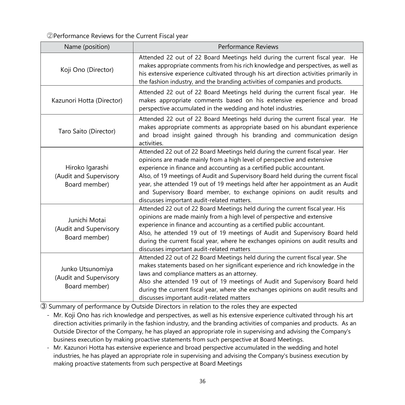②Performance Reviews for the Current Fiscal year

| Name (position)                                             | Performance Reviews                                                                                                                                                                                                                                                                                                                                                                                                                                                                                                                  |
|-------------------------------------------------------------|--------------------------------------------------------------------------------------------------------------------------------------------------------------------------------------------------------------------------------------------------------------------------------------------------------------------------------------------------------------------------------------------------------------------------------------------------------------------------------------------------------------------------------------|
| Koji Ono (Director)                                         | Attended 22 out of 22 Board Meetings held during the current fiscal year. He<br>makes appropriate comments from his rich knowledge and perspectives, as well as<br>his extensive experience cultivated through his art direction activities primarily in<br>the fashion industry, and the branding activities of companies and products.                                                                                                                                                                                             |
| Kazunori Hotta (Director)                                   | Attended 22 out of 22 Board Meetings held during the current fiscal year. He<br>makes appropriate comments based on his extensive experience and broad<br>perspective accumulated in the wedding and hotel industries.                                                                                                                                                                                                                                                                                                               |
| Taro Saito (Director)                                       | Attended 22 out of 22 Board Meetings held during the current fiscal year. He<br>makes appropriate comments as appropriate based on his abundant experience<br>and broad insight gained through his branding and communication design<br>activities.                                                                                                                                                                                                                                                                                  |
| Hiroko Igarashi<br>(Audit and Supervisory<br>Board member)  | Attended 22 out of 22 Board Meetings held during the current fiscal year. Her<br>opinions are made mainly from a high level of perspective and extensive<br>experience in finance and accounting as a certified public accountant.<br>Also, of 19 meetings of Audit and Supervisory Board held during the current fiscal<br>year, she attended 19 out of 19 meetings held after her appointment as an Audit<br>and Supervisory Board member, to exchange opinions on audit results and<br>discusses important audit-related matters. |
| Junichi Motai<br>(Audit and Supervisory<br>Board member)    | Attended 22 out of 22 Board Meetings held during the current fiscal year. His<br>opinions are made mainly from a high level of perspective and extensive<br>experience in finance and accounting as a certified public accountant.<br>Also, he attended 19 out of 19 meetings of Audit and Supervisory Board held<br>during the current fiscal year, where he exchanges opinions on audit results and<br>discusses important audit-related matters                                                                                   |
| Junko Utsunomiya<br>(Audit and Supervisory<br>Board member) | Attended 22 out of 22 Board Meetings held during the current fiscal year. She<br>makes statements based on her significant experience and rich knowledge in the<br>laws and compliance matters as an attorney.<br>Also she attended 19 out of 19 meetings of Audit and Supervisory Board held<br>during the current fiscal year, where she exchanges opinions on audit results and<br>discusses important audit-related matters                                                                                                      |

③ Summary of performance by Outside Directors in relation to the roles they are expected

- Mr. Koji Ono has rich knowledge and perspectives, as well as his extensive experience cultivated through his art direction activities primarily in the fashion industry, and the branding activities of companies and products. As an Outside Director of the Company, he has played an appropriate role in supervising and advising the Company's business execution by making proactive statements from such perspective at Board Meetings.
- Mr. Kazunori Hotta has extensive experience and broad perspective accumulated in the wedding and hotel industries, he has played an appropriate role in supervising and advising the Company's business execution by making proactive statements from such perspective at Board Meetings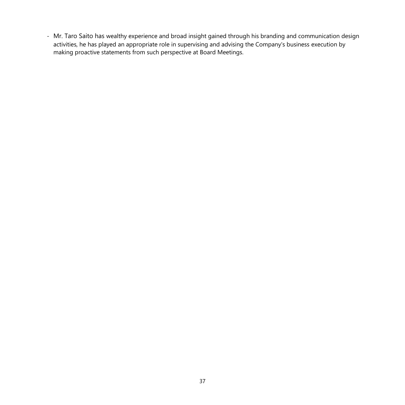- Mr. Taro Saito has wealthy experience and broad insight gained through his branding and communication design activities, he has played an appropriate role in supervising and advising the Company's business execution by making proactive statements from such perspective at Board Meetings.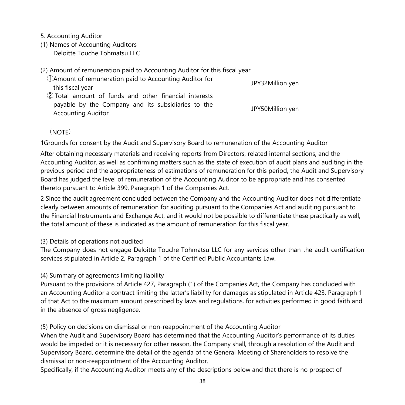5. Accounting Auditor

(1) Names of Accounting Auditors Deloitte Touche Tohmatsu LLC

(2) Amount of remuneration paid to Accounting Auditor for this fiscal year

①Amount of remuneration paid to Accounting Auditor for this fiscal year JPY32Million yen ② Total amount of funds and other financial interests payable by the Company and its subsidiaries to the payable by the company and its sabstances to the TV-50Million yen

(NOTE)

1Grounds for consent by the Audit and Supervisory Board to remuneration of the Accounting Auditor

After obtaining necessary materials and receiving reports from Directors, related internal sections, and the Accounting Auditor, as well as confirming matters such as the state of execution of audit plans and auditing in the previous period and the appropriateness of estimations of remuneration for this period, the Audit and Supervisory Board has judged the level of remuneration of the Accounting Auditor to be appropriate and has consented thereto pursuant to Article 399, Paragraph 1 of the Companies Act.

2 Since the audit agreement concluded between the Company and the Accounting Auditor does not differentiate clearly between amounts of remuneration for auditing pursuant to the Companies Act and auditing pursuant to the Financial Instruments and Exchange Act, and it would not be possible to differentiate these practically as well, the total amount of these is indicated as the amount of remuneration for this fiscal year.

#### (3) Details of operations not audited

The Company does not engage Deloitte Touche Tohmatsu LLC for any services other than the audit certification services stipulated in Article 2, Paragraph 1 of the Certified Public Accountants Law.

#### (4) Summary of agreements limiting liability

Pursuant to the provisions of Article 427, Paragraph (1) of the Companies Act, the Company has concluded with an Accounting Auditor a contract limiting the latter's liability for damages as stipulated in Article 423, Paragraph 1 of that Act to the maximum amount prescribed by laws and regulations, for activities performed in good faith and in the absence of gross negligence.

### (5) Policy on decisions on dismissal or non-reappointment of the Accounting Auditor

When the Audit and Supervisory Board has determined that the Accounting Auditor's performance of its duties would be impeded or it is necessary for other reason, the Company shall, through a resolution of the Audit and Supervisory Board, determine the detail of the agenda of the General Meeting of Shareholders to resolve the dismissal or non-reappointment of the Accounting Auditor.

Specifically, if the Accounting Auditor meets any of the descriptions below and that there is no prospect of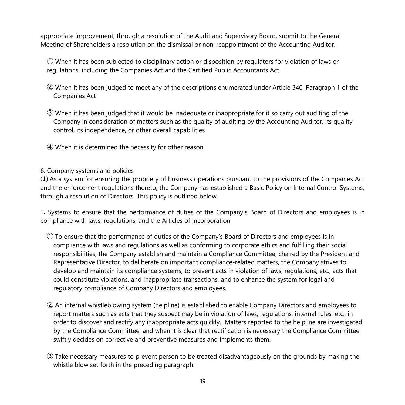appropriate improvement, through a resolution of the Audit and Supervisory Board, submit to the General Meeting of Shareholders a resolution on the dismissal or non-reappointment of the Accounting Auditor.

 $\mathbb D$  When it has been subjected to disciplinary action or disposition by regulators for violation of laws or regulations, including the Companies Act and the Certified Public Accountants Act

- ② When it has been judged to meet any of the descriptions enumerated under Article 340, Paragraph 1 of the Companies Act
- ③ When it has been judged that it would be inadequate or inappropriate for it so carry out auditing of the Company in consideration of matters such as the quality of auditing by the Accounting Auditor, its quality control, its independence, or other overall capabilities
- ④ When it is determined the necessity for other reason
- 6. Company systems and policies

(1) As a system for ensuring the propriety of business operations pursuant to the provisions of the Companies Act and the enforcement regulations thereto, the Company has established a Basic Policy on Internal Control Systems, through a resolution of Directors. This policy is outlined below.

1. Systems to ensure that the performance of duties of the Company's Board of Directors and employees is in compliance with laws, regulations, and the Articles of Incorporation

- ① To ensure that the performance of duties of the Company's Board of Directors and employees is in compliance with laws and regulations as well as conforming to corporate ethics and fulfilling their social responsibilities, the Company establish and maintain a Compliance Committee, chaired by the President and Representative Director, to deliberate on important compliance-related matters, the Company strives to develop and maintain its compliance systems, to prevent acts in violation of laws, regulations, etc., acts that could constitute violations, and inappropriate transactions, and to enhance the system for legal and regulatory compliance of Company Directors and employees.
- ② An internal whistleblowing system (helpline) is established to enable Company Directors and employees to report matters such as acts that they suspect may be in violation of laws, regulations, internal rules, etc., in order to discover and rectify any inappropriate acts quickly. Matters reported to the helpline are investigated by the Compliance Committee, and when it is clear that rectification is necessary the Compliance Committee swiftly decides on corrective and preventive measures and implements them.
- ③ Take necessary measures to prevent person to be treated disadvantageously on the grounds by making the whistle blow set forth in the preceding paragraph.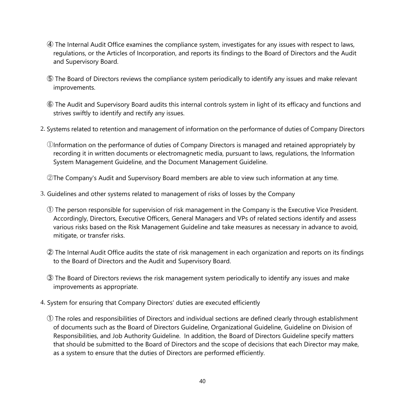- ④ The Internal Audit Office examines the compliance system, investigates for any issues with respect to laws, regulations, or the Articles of Incorporation, and reports its findings to the Board of Directors and the Audit and Supervisory Board.
- ⑤ The Board of Directors reviews the compliance system periodically to identify any issues and make relevant improvements.
- ⑥ The Audit and Supervisory Board audits this internal controls system in light of its efficacy and functions and strives swiftly to identify and rectify any issues.
- 2. Systems related to retention and management of information on the performance of duties of Company Directors
	- ①Information on the performance of duties of Company Directors is managed and retained appropriately by recording it in written documents or electromagnetic media, pursuant to laws, regulations, the Information System Management Guideline, and the Document Management Guideline.

②The Company's Audit and Supervisory Board members are able to view such information at any time.

- 3. Guidelines and other systems related to management of risks of losses by the Company
	- ① The person responsible for supervision of risk management in the Company is the Executive Vice President. Accordingly, Directors, Executive Officers, General Managers and VPs of related sections identify and assess various risks based on the Risk Management Guideline and take measures as necessary in advance to avoid, mitigate, or transfer risks.
	- ② The Internal Audit Office audits the state of risk management in each organization and reports on its findings to the Board of Directors and the Audit and Supervisory Board.
	- ③ The Board of Directors reviews the risk management system periodically to identify any issues and make improvements as appropriate.
- 4. System for ensuring that Company Directors' duties are executed efficiently
	- ① The roles and responsibilities of Directors and individual sections are defined clearly through establishment of documents such as the Board of Directors Guideline, Organizational Guideline, Guideline on Division of Responsibilities, and Job Authority Guideline. In addition, the Board of Directors Guideline specify matters that should be submitted to the Board of Directors and the scope of decisions that each Director may make, as a system to ensure that the duties of Directors are performed efficiently.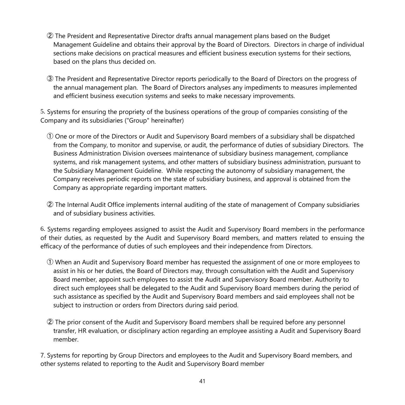- ② The President and Representative Director drafts annual management plans based on the Budget Management Guideline and obtains their approval by the Board of Directors. Directors in charge of individual sections make decisions on practical measures and efficient business execution systems for their sections, based on the plans thus decided on.
- ③ The President and Representative Director reports periodically to the Board of Directors on the progress of the annual management plan. The Board of Directors analyses any impediments to measures implemented and efficient business execution systems and seeks to make necessary improvements.

5. Systems for ensuring the propriety of the business operations of the group of companies consisting of the Company and its subsidiaries ("Group" hereinafter)

- ① One or more of the Directors or Audit and Supervisory Board members of a subsidiary shall be dispatched from the Company, to monitor and supervise, or audit, the performance of duties of subsidiary Directors. The Business Administration Division oversees maintenance of subsidiary business management, compliance systems, and risk management systems, and other matters of subsidiary business administration, pursuant to the Subsidiary Management Guideline. While respecting the autonomy of subsidiary management, the Company receives periodic reports on the state of subsidiary business, and approval is obtained from the Company as appropriate regarding important matters.
- ② The Internal Audit Office implements internal auditing of the state of management of Company subsidiaries and of subsidiary business activities.

6. Systems regarding employees assigned to assist the Audit and Supervisory Board members in the performance of their duties, as requested by the Audit and Supervisory Board members, and matters related to ensuing the efficacy of the performance of duties of such employees and their independence from Directors.

- ① When an Audit and Supervisory Board member has requested the assignment of one or more employees to assist in his or her duties, the Board of Directors may, through consultation with the Audit and Supervisory Board member, appoint such employees to assist the Audit and Supervisory Board member. Authority to direct such employees shall be delegated to the Audit and Supervisory Board members during the period of such assistance as specified by the Audit and Supervisory Board members and said employees shall not be subject to instruction or orders from Directors during said period.
- ② The prior consent of the Audit and Supervisory Board members shall be required before any personnel transfer, HR evaluation, or disciplinary action regarding an employee assisting a Audit and Supervisory Board member.

7. Systems for reporting by Group Directors and employees to the Audit and Supervisory Board members, and other systems related to reporting to the Audit and Supervisory Board member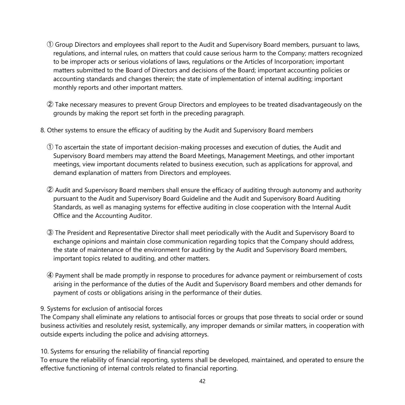- ① Group Directors and employees shall report to the Audit and Supervisory Board members, pursuant to laws, regulations, and internal rules, on matters that could cause serious harm to the Company; matters recognized to be improper acts or serious violations of laws, regulations or the Articles of Incorporation; important matters submitted to the Board of Directors and decisions of the Board; important accounting policies or accounting standards and changes therein; the state of implementation of internal auditing; important monthly reports and other important matters.
- ② Take necessary measures to prevent Group Directors and employees to be treated disadvantageously on the grounds by making the report set forth in the preceding paragraph.
- 8. Other systems to ensure the efficacy of auditing by the Audit and Supervisory Board members
	- ① To ascertain the state of important decision-making processes and execution of duties, the Audit and Supervisory Board members may attend the Board Meetings, Management Meetings, and other important meetings, view important documents related to business execution, such as applications for approval, and demand explanation of matters from Directors and employees.
	- ② Audit and Supervisory Board members shall ensure the efficacy of auditing through autonomy and authority pursuant to the Audit and Supervisory Board Guideline and the Audit and Supervisory Board Auditing Standards, as well as managing systems for effective auditing in close cooperation with the Internal Audit Office and the Accounting Auditor.
	- ③ The President and Representative Director shall meet periodically with the Audit and Supervisory Board to exchange opinions and maintain close communication regarding topics that the Company should address, the state of maintenance of the environment for auditing by the Audit and Supervisory Board members, important topics related to auditing, and other matters.
	- ④ Payment shall be made promptly in response to procedures for advance payment or reimbursement of costs arising in the performance of the duties of the Audit and Supervisory Board members and other demands for payment of costs or obligations arising in the performance of their duties.

#### 9. Systems for exclusion of antisocial forces

The Company shall eliminate any relations to antisocial forces or groups that pose threats to social order or sound business activities and resolutely resist, systemically, any improper demands or similar matters, in cooperation with outside experts including the police and advising attorneys.

10. Systems for ensuring the reliability of financial reporting

To ensure the reliability of financial reporting, systems shall be developed, maintained, and operated to ensure the effective functioning of internal controls related to financial reporting.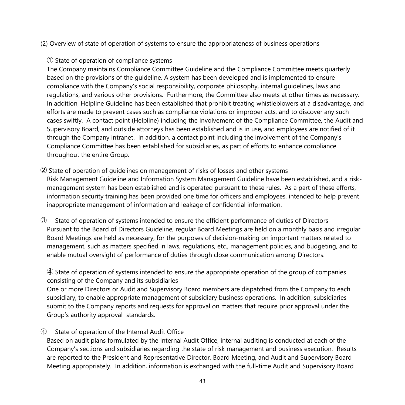#### (2) Overview of state of operation of systems to ensure the appropriateness of business operations

#### ① State of operation of compliance systems

The Company maintains Compliance Committee Guideline and the Compliance Committee meets quarterly based on the provisions of the guideline. A system has been developed and is implemented to ensure compliance with the Company's social responsibility, corporate philosophy, internal guidelines, laws and regulations, and various other provisions. Furthermore, the Committee also meets at other times as necessary. In addition, Helpline Guideline has been established that prohibit treating whistleblowers at a disadvantage, and efforts are made to prevent cases such as compliance violations or improper acts, and to discover any such cases swiftly. A contact point (Helpline) including the involvement of the Compliance Committee, the Audit and Supervisory Board, and outside attorneys has been established and is in use, and employees are notified of it through the Company intranet. In addition, a contact point including the involvement of the Company's Compliance Committee has been established for subsidiaries, as part of efforts to enhance compliance throughout the entire Group.

② State of operation of guidelines on management of risks of losses and other systems Risk Management Guideline and Information System Management Guideline have been established, and a riskmanagement system has been established and is operated pursuant to these rules. As a part of these efforts, information security training has been provided one time for officers and employees, intended to help prevent inappropriate management of information and leakage of confidential information.

③ State of operation of systems intended to ensure the efficient performance of duties of Directors Pursuant to the Board of Directors Guideline, regular Board Meetings are held on a monthly basis and irregular Board Meetings are held as necessary, for the purposes of decision-making on important matters related to management, such as matters specified in laws, regulations, etc., management policies, and budgeting, and to enable mutual oversight of performance of duties through close communication among Directors.

④ State of operation of systems intended to ensure the appropriate operation of the group of companies consisting of the Company and its subsidiaries

One or more Directors or Audit and Supervisory Board members are dispatched from the Company to each subsidiary, to enable appropriate management of subsidiary business operations. In addition, subsidiaries submit to the Company reports and requests for approval on matters that require prior approval under the Group's authority approval standards.

#### ④ State of operation of the Internal Audit Office

Based on audit plans formulated by the Internal Audit Office, internal auditing is conducted at each of the Company's sections and subsidiaries regarding the state of risk management and business execution. Results are reported to the President and Representative Director, Board Meeting, and Audit and Supervisory Board Meeting appropriately. In addition, information is exchanged with the full-time Audit and Supervisory Board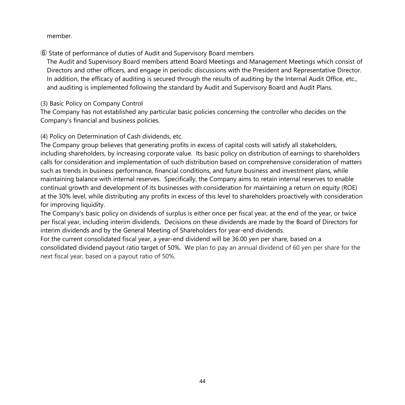member.

⑥ State of performance of duties of Audit and Supervisory Board members

The Audit and Supervisory Board members attend Board Meetings and Management Meetings which consist of Directors and other officers, and engage in periodic discussions with the President and Representative Director. In addition, the efficacy of auditing is secured through the results of auditing by the Internal Audit Office, etc., and auditing is implemented following the standard by Audit and Supervisory Board and Audit Plans.

(3) Basic Policy on Company Control

The Company has not established any particular basic policies concerning the controller who decides on the Company's financial and business policies.

(4) Policy on Determination of Cash dividends, etc.

The Company group believes that generating profits in excess of capital costs will satisfy all stakeholders, including shareholders, by increasing corporate value. Its basic policy on distribution of earnings to shareholders calls for consideration and implementation of such distribution based on comprehensive consideration of matters such as trends in business performance, financial conditions, and future business and investment plans, while maintaining balance with internal reserves. Specifically, the Company aims to retain internal reserves to enable continual growth and development of its businesses with consideration for maintaining a return on equity (ROE) at the 30% level, while distributing any profits in excess of this level to shareholders proactively with consideration for improving liquidity.

The Company's basic policy on dividends of surplus is either once per fiscal year, at the end of the year, or twice per fiscal year, including interim dividends. Decisions on these dividends are made by the Board of Directors for interim dividends and by the General Meeting of Shareholders for year-end dividends.

For the current consolidated fiscal year, a year-end dividend will be 36.00 yen per share, based on a consolidated dividend payout ratio target of 50%. We plan to pay an annual dividend of 60 yen per share for the next fiscal year, based on a payout ratio of 50%.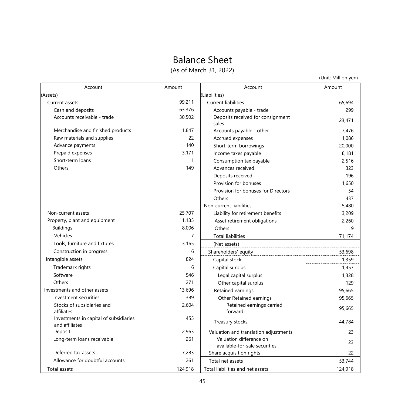# Balance Sheet

(As of March 31, 2022)

(Unit: Million yen)

| Account                                                  | Amount         | Account                                                  | Amount    |
|----------------------------------------------------------|----------------|----------------------------------------------------------|-----------|
| (Assets)                                                 |                | (Liabilities)                                            |           |
| Current assets                                           | 99,211         | <b>Current liabilities</b>                               | 65,694    |
| Cash and deposits                                        | 63,376         | Accounts payable - trade                                 | 299       |
| Accounts receivable - trade                              | 30,502         | Deposits received for consignment<br>sales               | 23,471    |
| Merchandise and finished products                        | 1.847          | Accounts payable - other                                 | 7.476     |
| Raw materials and supplies                               | 22             | Accrued expenses                                         | 1,086     |
| Advance payments                                         | 140            | Short-term borrowings                                    | 20,000    |
| Prepaid expenses                                         | 3.171          | Income taxes payable                                     | 8,181     |
| Short-term loans                                         | $\mathbf{1}$   | Consumption tax payable                                  | 2.516     |
| Others                                                   | 149            | Advances received                                        | 323       |
|                                                          |                | Deposits received                                        | 196       |
|                                                          |                | Provision for bonuses                                    | 1.650     |
|                                                          |                | Provision for bonuses for Directors                      | 54        |
|                                                          |                | Others                                                   | 437       |
|                                                          |                | Non-current liabilities                                  | 5,480     |
| Non-current assets                                       | 25,707         | Liability for retirement benefits                        | 3,209     |
| Property, plant and equipment                            | 11,185         | Asset retirement obligations                             | 2,260     |
| <b>Buildings</b>                                         | 8.006          | Others                                                   | 9         |
| Vehicles                                                 | $\overline{7}$ | <b>Total liabilities</b>                                 | 71,174    |
| Tools, furniture and fixtures                            | 3.165          | (Net assets)                                             |           |
| Construction in progress                                 | 6              | Shareholders' equity                                     | 53,698    |
| Intangible assets                                        | 824            | Capital stock                                            | 1,359     |
| Trademark rights                                         | 6              | Capital surplus                                          | 1,457     |
| Software                                                 | 546            | Legal capital surplus                                    | 1,328     |
| Others                                                   | 271            | Other capital surplus                                    | 129       |
| Investments and other assets                             | 13.696         | Retained earnings                                        | 95,665    |
| Investment securities                                    | 389            | Other Retained earnings                                  | 95.665    |
| Stocks of subsidiaries and<br>affiliates                 | 2,604          | Retained earnings carried<br>forward                     | 95,665    |
| Investments in capital of subsidiaries<br>and affiliates | 455            | Treasury stocks                                          | $-44,784$ |
| Deposit                                                  | 2,963          | Valuation and translation adjustments                    | 23        |
| Long-term loans receivable                               | 261            | Valuation difference on<br>available-for-sale securities | 23        |
| Deferred tax assets                                      | 7,283          | Share acquisition rights                                 | 22        |
| Allowance for doubtful accounts                          | $-261$         | Total net assets                                         | 53,744    |
| Total assets                                             | 124,918        | Total liabilities and net assets                         | 124,918   |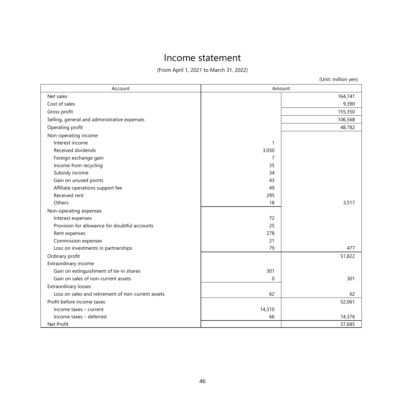# Income statement

(From April 1, 2021 to March 31, 2022)

| (Unit: million yen) |  |  |  |
|---------------------|--|--|--|
|---------------------|--|--|--|

| Account                                            | Amount   |         |
|----------------------------------------------------|----------|---------|
| Net sales                                          |          | 164,741 |
| Cost of sales                                      |          | 9,390   |
| Gross profit                                       |          | 155,350 |
| Selling, general and administrative expenses       |          | 106,568 |
| Operating profit                                   |          | 48,782  |
| Non-operating income                               |          |         |
| Interest income                                    | 1        |         |
| Received dividends                                 | 3,030    |         |
| Foreign exchange gain                              | 7        |         |
| Income from recycling                              | 35       |         |
| Subsidy income                                     | 34       |         |
| Gain on unused points                              | 43       |         |
| Affiliate operations support fee                   | 49       |         |
| Received rent                                      | 295      |         |
| Others                                             | 18       | 3,517   |
| Non-operating expenses                             |          |         |
| Interest expenses                                  | 72       |         |
| Provision for allowance for doubtful accounts      | 25       |         |
| Rent expenses                                      | 278      |         |
| Commission expenses                                | 21       |         |
| Loss on investments in partnerships                | 79       | 477     |
| Ordinary profit                                    |          | 51,822  |
| Extraordinary income                               |          |         |
| Gain on extinguishment of tie-in shares            | 301      |         |
| Gain on sales of non-current assets                | $\Omega$ | 301     |
| <b>Extraordinary losses</b>                        |          |         |
| Loss on sales and retirement of non-current assets | 62       | 62      |
| Profit before income taxes                         |          | 52,061  |
| Income taxes - current                             | 14,310   |         |
| Income taxes - deferred                            | 66       | 14,376  |
| Net Profit                                         |          | 37,685  |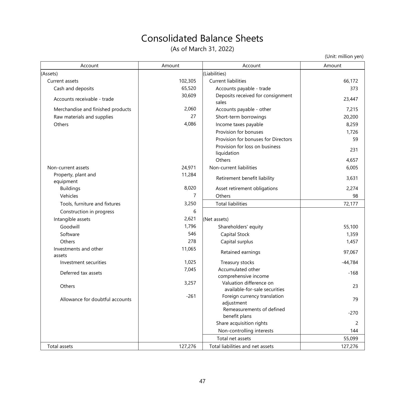# Consolidated Balance Sheets

(As of March 31, 2022)

(Unit: million yen)

| Account                           | Amount         | Account                                                  | Amount         |
|-----------------------------------|----------------|----------------------------------------------------------|----------------|
| (Assets)                          |                | (Liabilities)                                            |                |
| Current assets                    | 102,305        | <b>Current liabilities</b>                               | 66.172         |
| Cash and deposits                 | 65,520         | Accounts payable - trade                                 | 373            |
| Accounts receivable - trade       | 30,609         | Deposits received for consignment<br>sales               | 23,447         |
| Merchandise and finished products | 2,060          | Accounts payable - other                                 | 7.215          |
| Raw materials and supplies        | 27             | Short-term borrowings                                    | 20,200         |
| Others                            | 4,086          | Income taxes payable                                     | 8,259          |
|                                   |                | Provision for bonuses                                    | 1.726          |
|                                   |                | Provision for bonuses for Directors                      | 59             |
|                                   |                | Provision for loss on business<br>liquidation            | 231            |
|                                   |                | Others                                                   | 4,657          |
| Non-current assets                | 24,971         | Non-current liabilities                                  | 6,005          |
| Property, plant and<br>equipment  | 11,284         | Retirement benefit liability                             | 3,631          |
| <b>Buildings</b>                  | 8,020          | Asset retirement obligations                             | 2,274          |
| Vehicles                          | $\overline{7}$ | Others                                                   | 98             |
| Tools, furniture and fixtures     | 3,250          | <b>Total liabilities</b>                                 | 72,177         |
| Construction in progress          | 6              |                                                          |                |
| Intangible assets                 | 2,621          | (Net assets)                                             |                |
| Goodwill                          | 1,796          | Shareholders' equity                                     | 55,100         |
| Software                          | 546            | Capital Stock                                            | 1,359          |
| Others                            | 278            | Capital surplus                                          | 1,457          |
| Investments and other<br>assets   | 11,065         | Retained earnings                                        | 97,067         |
| Investment securities             | 1,025          | Treasury stocks                                          | $-44,784$      |
| Deferred tax assets               | 7,045          | Accumulated other<br>comprehensive income                | $-168$         |
| Others                            | 3,257          | Valuation difference on<br>available-for-sale securities | 23             |
| Allowance for doubtful accounts   | $-261$         | Foreign currency translation<br>adjustment               | 79             |
|                                   |                | Remeasurements of defined<br>benefit plans               | $-270$         |
|                                   |                | Share acquisition rights                                 | $\overline{c}$ |
|                                   |                | Non-controlling interests                                | 144            |
|                                   |                | Total net assets                                         | 55,099         |
| Total assets                      | 127.276        | Total liabilities and net assets                         | 127,276        |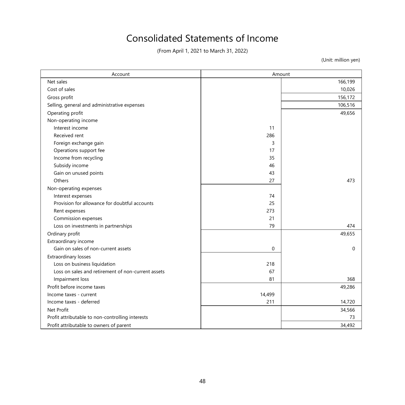# Consolidated Statements of Income

(From April 1, 2021 to March 31, 2022)

(Unit: million yen)

| Account                                            | Amount   |          |
|----------------------------------------------------|----------|----------|
| Net sales                                          |          | 166,199  |
| Cost of sales                                      |          | 10,026   |
| Gross profit                                       |          | 156,172  |
| Selling, general and administrative expenses       |          | 106,516  |
| Operating profit                                   |          | 49,656   |
| Non-operating income                               |          |          |
| Interest income                                    | 11       |          |
| Received rent                                      | 286      |          |
| Foreign exchange gain                              | 3        |          |
| Operations support fee                             | 17       |          |
| Income from recycling                              | 35       |          |
| Subsidy income                                     | 46       |          |
| Gain on unused points                              | 43       |          |
| Others                                             | 27       | 473      |
| Non-operating expenses                             |          |          |
| Interest expenses                                  | 74       |          |
| Provision for allowance for doubtful accounts      | 25       |          |
| Rent expenses                                      | 273      |          |
| Commission expenses                                | 21       |          |
| Loss on investments in partnerships                | 79       | 474      |
| Ordinary profit                                    |          | 49,655   |
| Extraordinary income                               |          |          |
| Gain on sales of non-current assets                | $\Omega$ | $\Omega$ |
| Extraordinary losses                               |          |          |
| Loss on business liquidation                       | 218      |          |
| Loss on sales and retirement of non-current assets | 67       |          |
| Impairment loss                                    | 81       | 368      |
| Profit before income taxes                         |          | 49,286   |
| Income taxes - current                             | 14,499   |          |
| Income taxes - deferred                            | 211      | 14,720   |
| Net Profit                                         |          | 34,566   |
| Profit attributable to non-controlling interests   |          | 73       |
| Profit attributable to owners of parent            |          | 34,492   |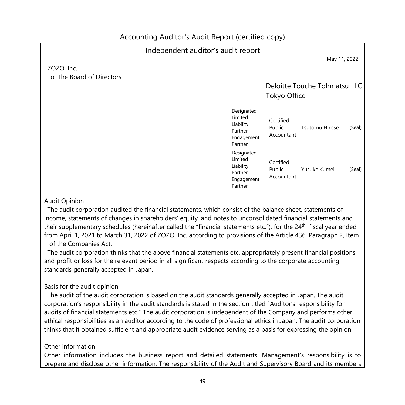#### Independent auditor's audit report May 11, 2022 ZOZO, Inc. To: The Board of Directors Deloitte Touche Tohmatsu LLC Tokyo Office Designated Limited Liability Partner, Engagement Partner Certified Public Accountant Tsutomu Hirose (Seal) Designated Limited Liability Partner, Engagement Partner Certified Public Accountant Yusuke Kumei (Seal)

#### Audit Opinion

The audit corporation audited the financial statements, which consist of the balance sheet, statements of income, statements of changes in shareholders' equity, and notes to unconsolidated financial statements and their supplementary schedules (hereinafter called the "financial statements etc."), for the 24<sup>th</sup> fiscal year ended from April 1, 2021 to March 31, 2022 of ZOZO, Inc. according to provisions of the Article 436, Paragraph 2, Item 1 of the Companies Act.

The audit corporation thinks that the above financial statements etc. appropriately present financial positions and profit or loss for the relevant period in all significant respects according to the corporate accounting standards generally accepted in Japan.

### Basis for the audit opinion

The audit of the audit corporation is based on the audit standards generally accepted in Japan. The audit corporation's responsibility in the audit standards is stated in the section titled "Auditor's responsibility for audits of financial statements etc." The audit corporation is independent of the Company and performs other ethical responsibilities as an auditor according to the code of professional ethics in Japan. The audit corporation thinks that it obtained sufficient and appropriate audit evidence serving as a basis for expressing the opinion.

#### Other information

Other information includes the business report and detailed statements. Management's responsibility is to prepare and disclose other information. The responsibility of the Audit and Supervisory Board and its members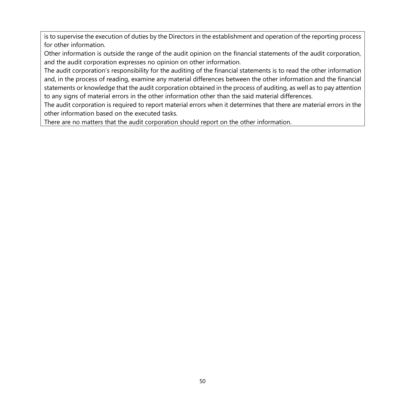is to supervise the execution of duties by the Directors in the establishment and operation of the reporting process for other information.

Other information is outside the range of the audit opinion on the financial statements of the audit corporation, and the audit corporation expresses no opinion on other information.

The audit corporation's responsibility for the auditing of the financial statements is to read the other information and, in the process of reading, examine any material differences between the other information and the financial statements or knowledge that the audit corporation obtained in the process of auditing, as well as to pay attention to any signs of material errors in the other information other than the said material differences.

The audit corporation is required to report material errors when it determines that there are material errors in the other information based on the executed tasks.

There are no matters that the audit corporation should report on the other information.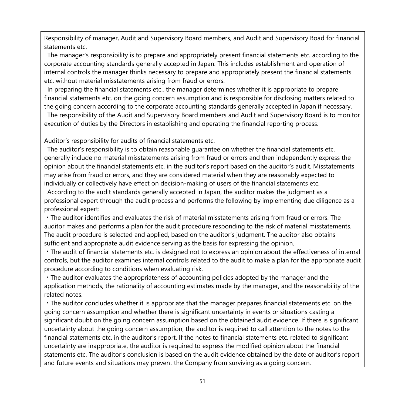Responsibility of manager, Audit and Supervisory Board members, and Audit and Supervisory Boad for financial statements etc.

The manager's responsibility is to prepare and appropriately present financial statements etc. according to the corporate accounting standards generally accepted in Japan. This includes establishment and operation of internal controls the manager thinks necessary to prepare and appropriately present the financial statements etc. without material misstatements arising from fraud or errors.

In preparing the financial statements etc., the manager determines whether it is appropriate to prepare financial statements etc. on the going concern assumption and is responsible for disclosing matters related to the going concern according to the corporate accounting standards generally accepted in Japan if necessary.

The responsibility of the Audit and Supervisory Board members and Audit and Supervisory Board is to monitor execution of duties by the Directors in establishing and operating the financial reporting process.

Auditor's responsibility for audits of financial statements etc.

The auditor's responsibility is to obtain reasonable guarantee on whether the financial statements etc. generally include no material misstatements arising from fraud or errors and then independently express the opinion about the financial statements etc. in the auditor's report based on the auditor's audit. Misstatements may arise from fraud or errors, and they are considered material when they are reasonably expected to individually or collectively have effect on decision-making of users of the financial statements etc.

According to the audit standards generally accepted in Japan, the auditor makes the judgment as a professional expert through the audit process and performs the following by implementing due diligence as a professional expert:

・The auditor identifies and evaluates the risk of material misstatements arising from fraud or errors. The auditor makes and performs a plan for the audit procedure responding to the risk of material misstatements. The audit procedure is selected and applied, based on the auditor's judgment. The auditor also obtains sufficient and appropriate audit evidence serving as the basis for expressing the opinion.

・The audit of financial statements etc. is designed not to express an opinion about the effectiveness of internal controls, but the auditor examines internal controls related to the audit to make a plan for the appropriate audit procedure according to conditions when evaluating risk.

・The auditor evaluates the appropriateness of accounting policies adopted by the manager and the application methods, the rationality of accounting estimates made by the manager, and the reasonability of the related notes.

・The auditor concludes whether it is appropriate that the manager prepares financial statements etc. on the going concern assumption and whether there is significant uncertainty in events or situations casting a significant doubt on the going concern assumption based on the obtained audit evidence. If there is significant uncertainty about the going concern assumption, the auditor is required to call attention to the notes to the financial statements etc. in the auditor's report. If the notes to financial statements etc. related to significant uncertainty are inappropriate, the auditor is required to express the modified opinion about the financial statements etc. The auditor's conclusion is based on the audit evidence obtained by the date of auditor's report and future events and situations may prevent the Company from surviving as a going concern.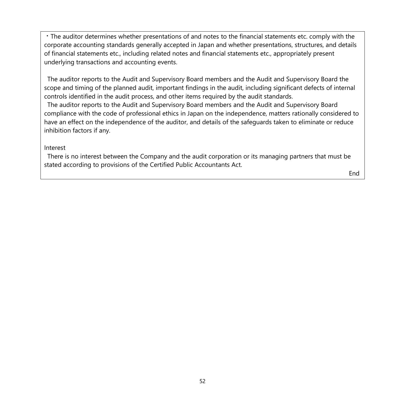・The auditor determines whether presentations of and notes to the financial statements etc. comply with the corporate accounting standards generally accepted in Japan and whether presentations, structures, and details of financial statements etc., including related notes and financial statements etc., appropriately present underlying transactions and accounting events.

The auditor reports to the Audit and Supervisory Board members and the Audit and Supervisory Board the scope and timing of the planned audit, important findings in the audit, including significant defects of internal controls identified in the audit process, and other items required by the audit standards.

The auditor reports to the Audit and Supervisory Board members and the Audit and Supervisory Board compliance with the code of professional ethics in Japan on the independence, matters rationally considered to have an effect on the independence of the auditor, and details of the safeguards taken to eliminate or reduce inhibition factors if any.

#### Interest

There is no interest between the Company and the audit corporation or its managing partners that must be stated according to provisions of the Certified Public Accountants Act.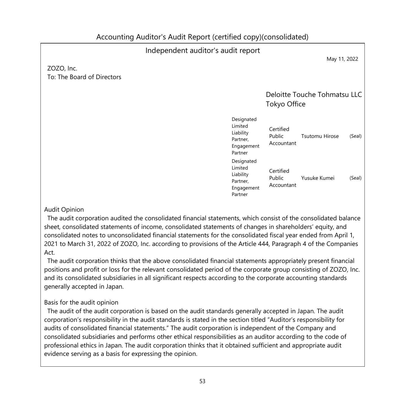#### Independent auditor's audit report May 11, 2022 ZOZO, Inc. To: The Board of Directors Deloitte Touche Tohmatsu LLC Tokyo Office Designated Limited Liability Partner, Engagement Partner Certified Public Accountant Tsutomu Hirose (Seal) Designated Limited Liability Partner, Engagement Partner Certified Public Accountant Yusuke Kumei (Seal)

### Audit Opinion

The audit corporation audited the consolidated financial statements, which consist of the consolidated balance sheet, consolidated statements of income, consolidated statements of changes in shareholders' equity, and consolidated notes to unconsolidated financial statements for the consolidated fiscal year ended from April 1, 2021 to March 31, 2022 of ZOZO, Inc. according to provisions of the Article 444, Paragraph 4 of the Companies Act.

The audit corporation thinks that the above consolidated financial statements appropriately present financial positions and profit or loss for the relevant consolidated period of the corporate group consisting of ZOZO, Inc. and its consolidated subsidiaries in all significant respects according to the corporate accounting standards generally accepted in Japan.

# Basis for the audit opinion

The audit of the audit corporation is based on the audit standards generally accepted in Japan. The audit corporation's responsibility in the audit standards is stated in the section titled "Auditor's responsibility for audits of consolidated financial statements." The audit corporation is independent of the Company and consolidated subsidiaries and performs other ethical responsibilities as an auditor according to the code of professional ethics in Japan. The audit corporation thinks that it obtained sufficient and appropriate audit evidence serving as a basis for expressing the opinion.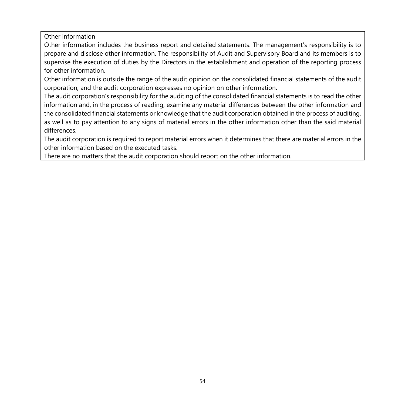Other information

Other information includes the business report and detailed statements. The management's responsibility is to prepare and disclose other information. The responsibility of Audit and Supervisory Board and its members is to supervise the execution of duties by the Directors in the establishment and operation of the reporting process for other information.

Other information is outside the range of the audit opinion on the consolidated financial statements of the audit corporation, and the audit corporation expresses no opinion on other information.

The audit corporation's responsibility for the auditing of the consolidated financial statements is to read the other information and, in the process of reading, examine any material differences between the other information and the consolidated financial statements or knowledge that the audit corporation obtained in the process of auditing, as well as to pay attention to any signs of material errors in the other information other than the said material differences.

The audit corporation is required to report material errors when it determines that there are material errors in the other information based on the executed tasks.

There are no matters that the audit corporation should report on the other information.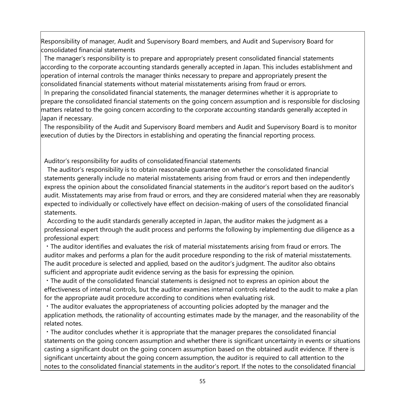Responsibility of manager, Audit and Supervisory Board members, and Audit and Supervisory Board for consolidated financial statements

The manager's responsibility is to prepare and appropriately present consolidated financial statements according to the corporate accounting standards generally accepted in Japan. This includes establishment and operation of internal controls the manager thinks necessary to prepare and appropriately present the consolidated financial statements without material misstatements arising from fraud or errors.

In preparing the consolidated financial statements, the manager determines whether it is appropriate to prepare the consolidated financial statements on the going concern assumption and is responsible for disclosing matters related to the going concern according to the corporate accounting standards generally accepted in Japan if necessary.

The responsibility of the Audit and Supervisory Board members and Audit and Supervisory Board is to monitor execution of duties by the Directors in establishing and operating the financial reporting process.

Auditor's responsibility for audits of consolidated financial statements

The auditor's responsibility is to obtain reasonable guarantee on whether the consolidated financial statements generally include no material misstatements arising from fraud or errors and then independently express the opinion about the consolidated financial statements in the auditor's report based on the auditor's audit. Misstatements may arise from fraud or errors, and they are considered material when they are reasonably expected to individually or collectively have effect on decision-making of users of the consolidated financial statements.

According to the audit standards generally accepted in Japan, the auditor makes the judgment as a professional expert through the audit process and performs the following by implementing due diligence as a professional expert:

・The auditor identifies and evaluates the risk of material misstatements arising from fraud or errors. The auditor makes and performs a plan for the audit procedure responding to the risk of material misstatements. The audit procedure is selected and applied, based on the auditor's judgment. The auditor also obtains sufficient and appropriate audit evidence serving as the basis for expressing the opinion.

・The audit of the consolidated financial statements is designed not to express an opinion about the effectiveness of internal controls, but the auditor examines internal controls related to the audit to make a plan for the appropriate audit procedure according to conditions when evaluating risk.

・The auditor evaluates the appropriateness of accounting policies adopted by the manager and the application methods, the rationality of accounting estimates made by the manager, and the reasonability of the related notes.

・The auditor concludes whether it is appropriate that the manager prepares the consolidated financial statements on the going concern assumption and whether there is significant uncertainty in events or situations casting a significant doubt on the going concern assumption based on the obtained audit evidence. If there is significant uncertainty about the going concern assumption, the auditor is required to call attention to the notes to the consolidated financial statements in the auditor's report. If the notes to the consolidated financial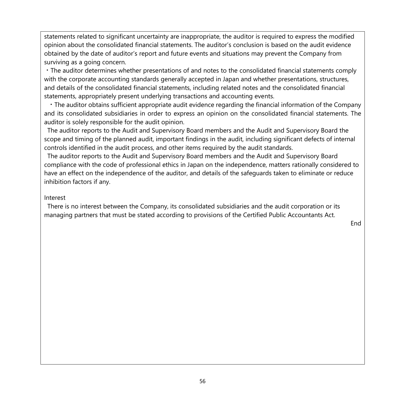statements related to significant uncertainty are inappropriate, the auditor is required to express the modified opinion about the consolidated financial statements. The auditor's conclusion is based on the audit evidence obtained by the date of auditor's report and future events and situations may prevent the Company from surviving as a going concern.

・The auditor determines whether presentations of and notes to the consolidated financial statements comply with the corporate accounting standards generally accepted in Japan and whether presentations, structures, and details of the consolidated financial statements, including related notes and the consolidated financial statements, appropriately present underlying transactions and accounting events.

・The auditor obtains sufficient appropriate audit evidence regarding the financial information of the Company and its consolidated subsidiaries in order to express an opinion on the consolidated financial statements. The auditor is solely responsible for the audit opinion.

The auditor reports to the Audit and Supervisory Board members and the Audit and Supervisory Board the scope and timing of the planned audit, important findings in the audit, including significant defects of internal controls identified in the audit process, and other items required by the audit standards.

The auditor reports to the Audit and Supervisory Board members and the Audit and Supervisory Board compliance with the code of professional ethics in Japan on the independence, matters rationally considered to have an effect on the independence of the auditor, and details of the safeguards taken to eliminate or reduce inhibition factors if any.

#### Interest

There is no interest between the Company, its consolidated subsidiaries and the audit corporation or its managing partners that must be stated according to provisions of the Certified Public Accountants Act.

End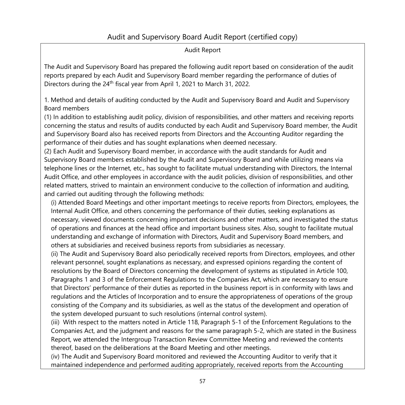# Audit and Supervisory Board Audit Report (certified copy)

#### Audit Report

The Audit and Supervisory Board has prepared the following audit report based on consideration of the audit reports prepared by each Audit and Supervisory Board member regarding the performance of duties of Directors during the 24<sup>th</sup> fiscal year from April 1, 2021 to March 31, 2022.

1. Method and details of auditing conducted by the Audit and Supervisory Board and Audit and Supervisory Board members

(1) In addition to establishing audit policy, division of responsibilities, and other matters and receiving reports concerning the status and results of audits conducted by each Audit and Supervisory Board member, the Audit and Supervisory Board also has received reports from Directors and the Accounting Auditor regarding the performance of their duties and has sought explanations when deemed necessary.

(2) Each Audit and Supervisory Board member, in accordance with the audit standards for Audit and Supervisory Board members established by the Audit and Supervisory Board and while utilizing means via telephone lines or the Internet, etc., has sought to facilitate mutual understanding with Directors, the Internal Audit Office, and other employees in accordance with the audit policies, division of responsibilities, and other related matters, strived to maintain an environment conducive to the collection of information and auditing, and carried out auditing through the following methods:

(i) Attended Board Meetings and other important meetings to receive reports from Directors, employees, the Internal Audit Office, and others concerning the performance of their duties, seeking explanations as necessary, viewed documents concerning important decisions and other matters, and investigated the status of operations and finances at the head office and important business sites. Also, sought to facilitate mutual understanding and exchange of information with Directors, Audit and Supervisory Board members, and others at subsidiaries and received business reports from subsidiaries as necessary.

(ii) The Audit and Supervisory Board also periodically received reports from Directors, employees, and other relevant personnel, sought explanations as necessary, and expressed opinions regarding the content of resolutions by the Board of Directors concerning the development of systems as stipulated in Article 100, Paragraphs 1 and 3 of the Enforcement Regulations to the Companies Act, which are necessary to ensure that Directors' performance of their duties as reported in the business report is in conformity with laws and regulations and the Articles of Incorporation and to ensure the appropriateness of operations of the group consisting of the Company and its subsidiaries, as well as the status of the development and operation of the system developed pursuant to such resolutions (internal control system).

(iii) With respect to the matters noted in Article 118, Paragraph 5-1 of the Enforcement Regulations to the Companies Act, and the judgment and reasons for the same paragraph 5-2, which are stated in the Business Report, we attended the Intergroup Transaction Review Committee Meeting and reviewed the contents thereof, based on the deliberations at the Board Meeting and other meetings.

(iv) The Audit and Supervisory Board monitored and reviewed the Accounting Auditor to verify that it maintained independence and performed auditing appropriately, received reports from the Accounting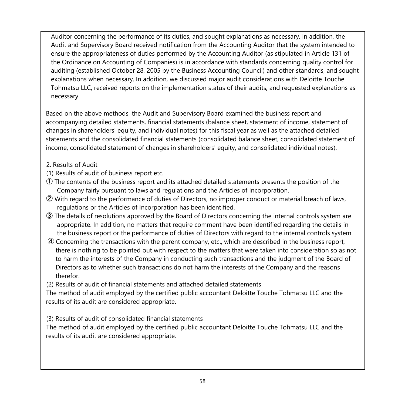Auditor concerning the performance of its duties, and sought explanations as necessary. In addition, the Audit and Supervisory Board received notification from the Accounting Auditor that the system intended to ensure the appropriateness of duties performed by the Accounting Auditor (as stipulated in Article 131 of the Ordinance on Accounting of Companies) is in accordance with standards concerning quality control for auditing (established October 28, 2005 by the Business Accounting Council) and other standards, and sought explanations when necessary. In addition, we discussed major audit considerations with Deloitte Touche Tohmatsu LLC, received reports on the implementation status of their audits, and requested explanations as necessary.

Based on the above methods, the Audit and Supervisory Board examined the business report and accompanying detailed statements, financial statements (balance sheet, statement of income, statement of changes in shareholders' equity, and individual notes) for this fiscal year as well as the attached detailed statements and the consolidated financial statements (consolidated balance sheet, consolidated statement of income, consolidated statement of changes in shareholders' equity, and consolidated individual notes).

# 2. Results of Audit

(1) Results of audit of business report etc.

- $\mathbb O$  The contents of the business report and its attached detailed statements presents the position of the Company fairly pursuant to laws and regulations and the Articles of Incorporation.
- ② With regard to the performance of duties of Directors, no improper conduct or material breach of laws, regulations or the Articles of Incorporation has been identified.
- ③ The details of resolutions approved by the Board of Directors concerning the internal controls system are appropriate. In addition, no matters that require comment have been identified regarding the details in the business report or the performance of duties of Directors with regard to the internal controls system.
- ④ Concerning the transactions with the parent company, etc., which are described in the business report, there is nothing to be pointed out with respect to the matters that were taken into consideration so as not to harm the interests of the Company in conducting such transactions and the judgment of the Board of Directors as to whether such transactions do not harm the interests of the Company and the reasons therefor.

(2) Results of audit of financial statements and attached detailed statements

The method of audit employed by the certified public accountant Deloitte Touche Tohmatsu LLC and the results of its audit are considered appropriate.

(3) Results of audit of consolidated financial statements

The method of audit employed by the certified public accountant Deloitte Touche Tohmatsu LLC and the results of its audit are considered appropriate.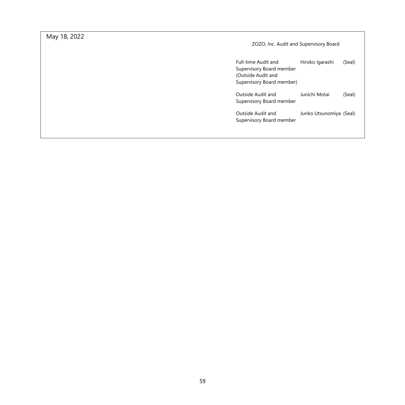May 18, 2022

ZOZO, Inc. Audit and Supervisory Board

| Full-time Audit and<br>Supervisory Board member<br>(Outside Audit and<br>Supervisory Board member) | Hiroko Igarashi         | (Seal) |
|----------------------------------------------------------------------------------------------------|-------------------------|--------|
| Outside Audit and<br>Supervisory Board member                                                      | Junichi Motai           | (Seal) |
| Outside Audit and<br>Supervisory Board member                                                      | Junko Utsunomiya (Seal) |        |